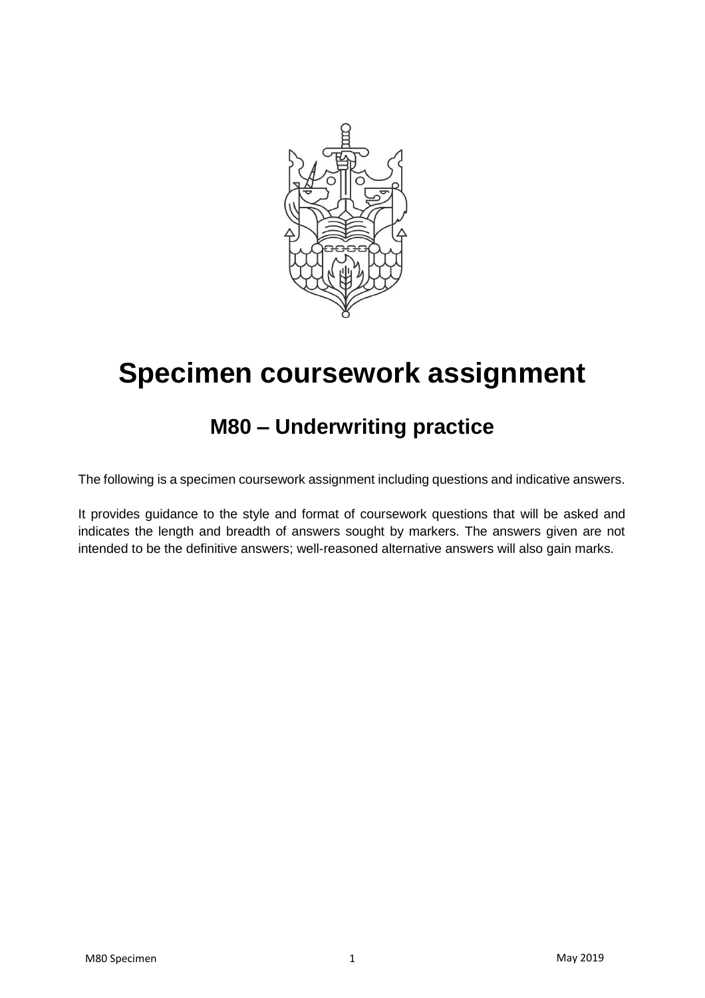

### **M80 – Underwriting practice**

The following is a specimen coursework assignment including questions and indicative answers.

It provides guidance to the style and format of coursework questions that will be asked and indicates the length and breadth of answers sought by markers. The answers given are not intended to be the definitive answers; well-reasoned alternative answers will also gain marks.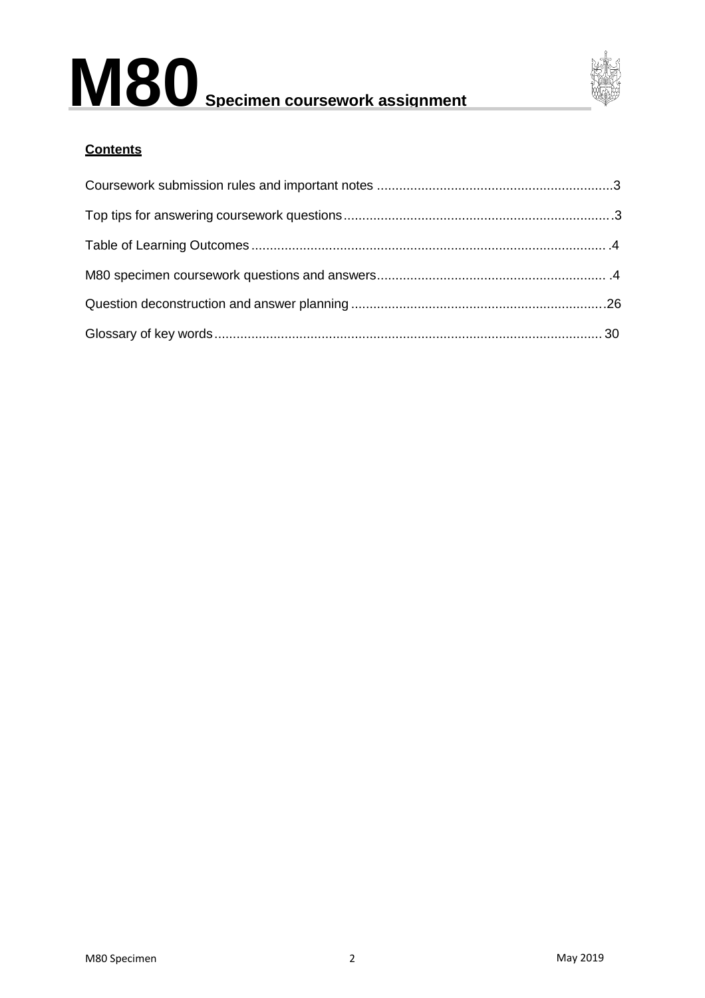

#### **Contents**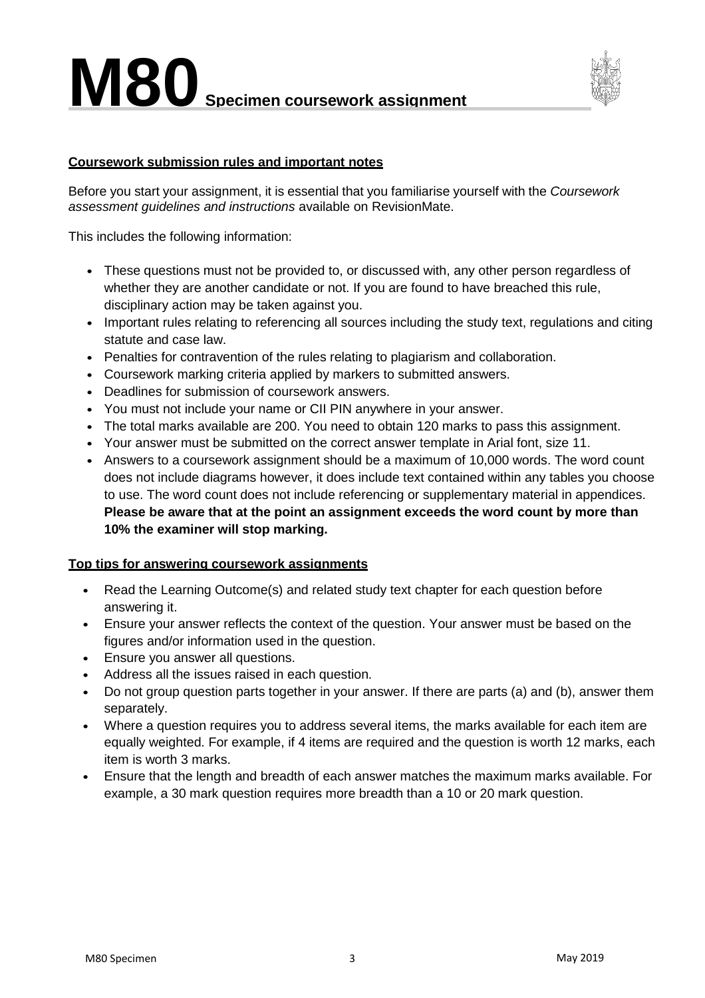

#### <span id="page-2-0"></span>**Coursework submission rules and important notes**

Before you start your assignment, it is essential that you familiarise yourself with the *Coursework assessment guidelines and instructions* available on RevisionMate.

This includes the following information:

- These questions must not be provided to, or discussed with, any other person regardless of whether they are another candidate or not. If you are found to have breached this rule, disciplinary action may be taken against you.
- Important rules relating to referencing all sources including the study text, regulations and citing statute and case law.
- Penalties for contravention of the rules relating to plagiarism and collaboration.
- Coursework marking criteria applied by markers to submitted answers.
- Deadlines for submission of coursework answers.
- You must not include your name or CII PIN anywhere in your answer.
- The total marks available are 200. You need to obtain 120 marks to pass this assignment.
- Your answer must be submitted on the correct answer template in Arial font, size 11.
- Answers to a coursework assignment should be a maximum of 10,000 words. The word count does not include diagrams however, it does include text contained within any tables you choose to use. The word count does not include referencing or supplementary material in appendices. **Please be aware that at the point an assignment exceeds the word count by more than 10% the examiner will stop marking.**

#### <span id="page-2-1"></span>**Top tips for answering coursework assignments**

- Read the Learning Outcome(s) and related study text chapter for each question before answering it.
- Ensure your answer reflects the context of the question. Your answer must be based on the figures and/or information used in the question.
- Ensure you answer all questions.
- Address all the issues raised in each question.
- Do not group question parts together in your answer. If there are parts (a) and (b), answer them separately.
- Where a question requires you to address several items, the marks available for each item are equally weighted. For example, if 4 items are required and the question is worth 12 marks, each item is worth 3 marks.
- Ensure that the length and breadth of each answer matches the maximum marks available. For example, a 30 mark question requires more breadth than a 10 or 20 mark question.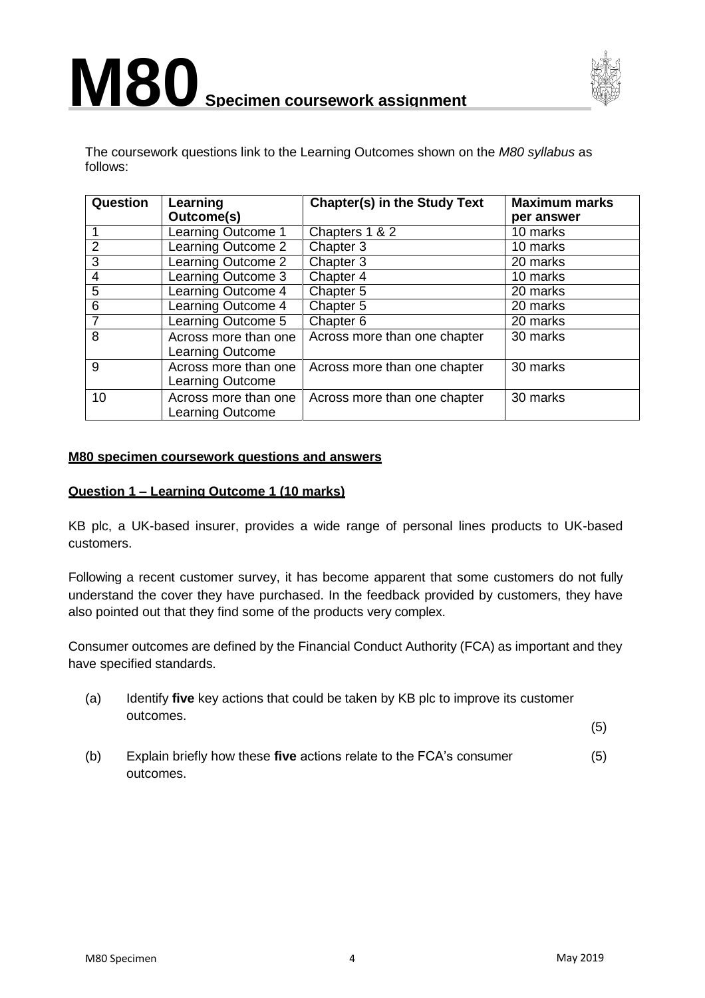



The coursework questions link to the Learning Outcomes shown on the *M80 syllabus* as follows:

| Question        | Learning<br>Outcome(s)                          | <b>Chapter(s) in the Study Text</b> | <b>Maximum marks</b><br>per answer |
|-----------------|-------------------------------------------------|-------------------------------------|------------------------------------|
|                 | Learning Outcome 1                              | Chapters 1 & 2                      | 10 marks                           |
| $\overline{2}$  | Learning Outcome 2                              | Chapter 3                           | 10 marks                           |
| $\overline{3}$  | Learning Outcome 2                              | Chapter 3                           | 20 marks                           |
| $\overline{4}$  | Learning Outcome 3                              | Chapter 4                           | 10 marks                           |
| 5               | Learning Outcome 4                              | Chapter 5                           | 20 marks                           |
| $6\phantom{1}6$ | Learning Outcome 4                              | Chapter 5                           | 20 marks                           |
| $\overline{7}$  | Learning Outcome 5                              | Chapter 6                           | 20 marks                           |
| 8               | Across more than one<br>Learning Outcome        | Across more than one chapter        | 30 marks                           |
| 9               | Across more than one<br>Learning Outcome        | Across more than one chapter        | 30 marks                           |
| 10              | Across more than one<br><b>Learning Outcome</b> | Across more than one chapter        | 30 marks                           |

#### <span id="page-3-0"></span>**M80 specimen coursework questions and answers**

#### **Question 1 – Learning Outcome 1 (10 marks)**

KB plc, a UK-based insurer, provides a wide range of personal lines products to UK-based customers.

Following a recent customer survey, it has become apparent that some customers do not fully understand the cover they have purchased. In the feedback provided by customers, they have also pointed out that they find some of the products very complex.

Consumer outcomes are defined by the Financial Conduct Authority (FCA) as important and they have specified standards.

(a) Identify **five** key actions that could be taken by KB plc to improve its customer outcomes.

(5)

(b) Explain briefly how these **five** actions relate to the FCA's consumer outcomes. (5)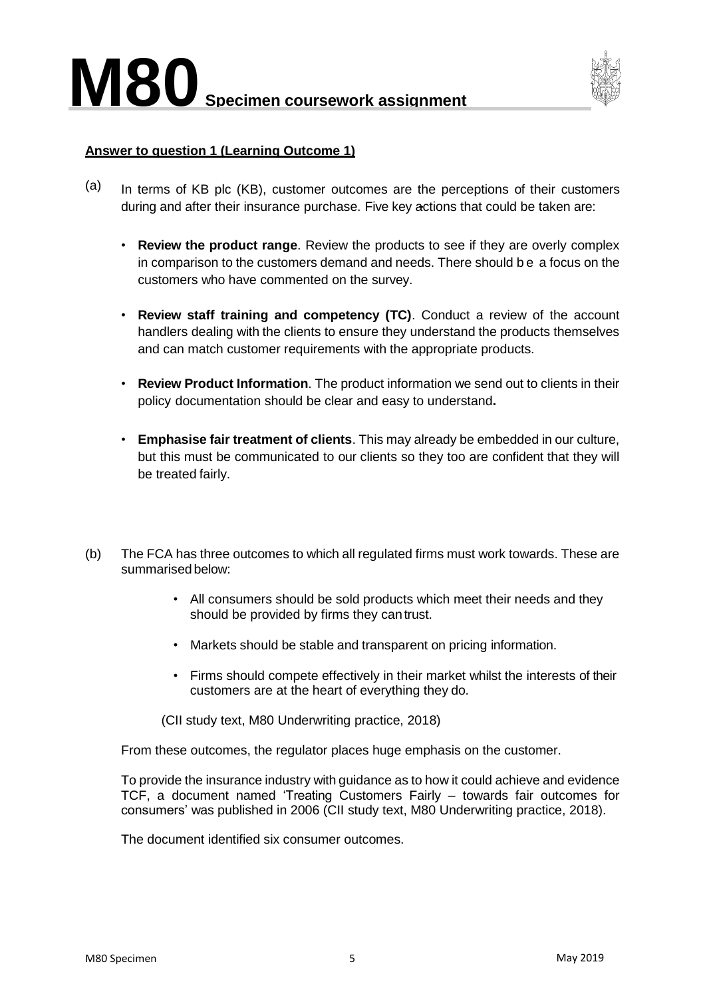

#### **Answer to question 1 (Learning Outcome 1)**

- $(a)$  In terms of KB plc (KB), customer outcomes are the perceptions of their customers during and after their insurance purchase. Five key actions that could be taken are:
	- **Review the product range**. Review the products to see if they are overly complex in comparison to the customers demand and needs. There should be a focus on the customers who have commented on the survey.
	- **Review staff training and competency (TC)**. Conduct a review of the account handlers dealing with the clients to ensure they understand the products themselves and can match customer requirements with the appropriate products.
	- **Review Product Information**. The product information we send out to clients in their policy documentation should be clear and easy to understand**.**
	- **Emphasise fair treatment of clients**. This may already be embedded in our culture, but this must be communicated to our clients so they too are confident that they will be treated fairly.
- (b) The FCA has three outcomes to which all regulated firms must work towards. These are summarised below:
	- All consumers should be sold products which meet their needs and they should be provided by firms they cantrust.
	- Markets should be stable and transparent on pricing information.
	- Firms should compete effectively in their market whilst the interests of their customers are at the heart of everything they do.
	- (CII study text, M80 Underwriting practice, 2018)

From these outcomes, the regulator places huge emphasis on the customer.

To provide the insurance industry with guidance as to how it could achieve and evidence TCF, a document named 'Treating Customers Fairly – towards fair outcomes for consumers' was published in 2006 (CII study text, M80 Underwriting practice, 2018).

The document identified six consumer outcomes.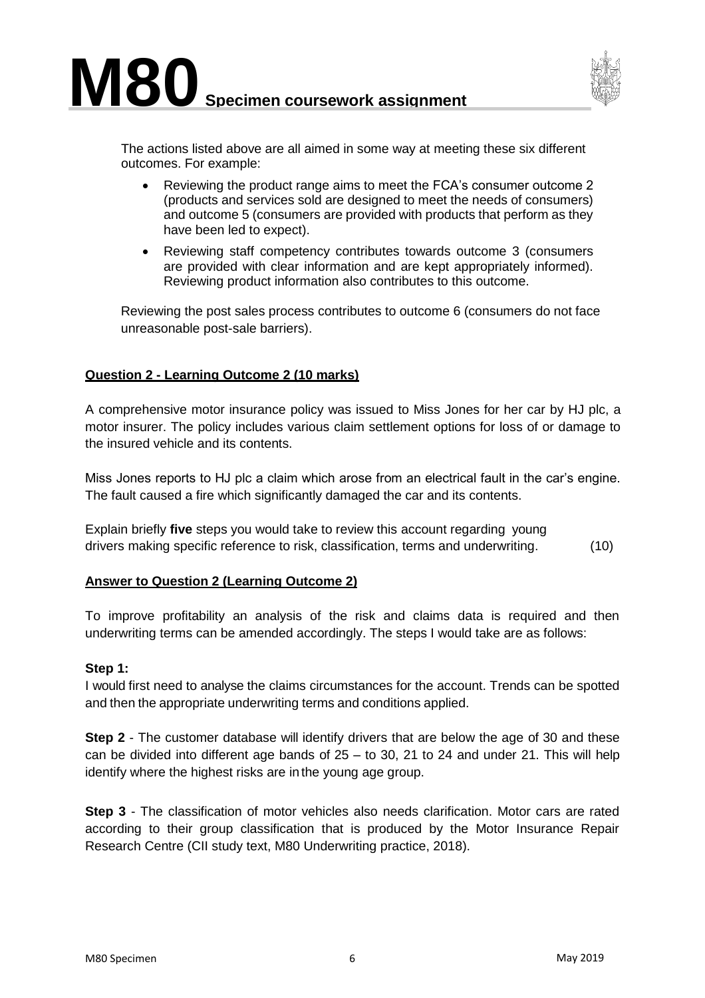

The actions listed above are all aimed in some way at meeting these six different outcomes. For example:

- Reviewing the product range aims to meet the FCA's consumer outcome 2 (products and services sold are designed to meet the needs of consumers) and outcome 5 (consumers are provided with products that perform as they have been led to expect).
- Reviewing staff competency contributes towards outcome 3 (consumers are provided with clear information and are kept appropriately informed). Reviewing product information also contributes to this outcome.

Reviewing the post sales process contributes to outcome 6 (consumers do not face unreasonable post-sale barriers).

#### **Question 2 - Learning Outcome 2 (10 marks)**

A comprehensive motor insurance policy was issued to Miss Jones for her car by HJ plc, a motor insurer. The policy includes various claim settlement options for loss of or damage to the insured vehicle and its contents.

Miss Jones reports to HJ plc a claim which arose from an electrical fault in the car's engine. The fault caused a fire which significantly damaged the car and its contents.

Explain briefly **five** steps you would take to review this account regarding young drivers making specific reference to risk, classification, terms and underwriting. (10)

#### **Answer to Question 2 (Learning Outcome 2)**

To improve profitability an analysis of the risk and claims data is required and then underwriting terms can be amended accordingly. The steps I would take are as follows:

#### **Step 1:**

I would first need to analyse the claims circumstances for the account. Trends can be spotted and then the appropriate underwriting terms and conditions applied.

**Step 2** - The customer database will identify drivers that are below the age of 30 and these can be divided into different age bands of  $25 -$  to 30, 21 to 24 and under 21. This will help identify where the highest risks are inthe young age group.

**Step 3** - The classification of motor vehicles also needs clarification. Motor cars are rated according to their group classification that is produced by the Motor Insurance Repair Research Centre (CII study text, M80 Underwriting practice, 2018).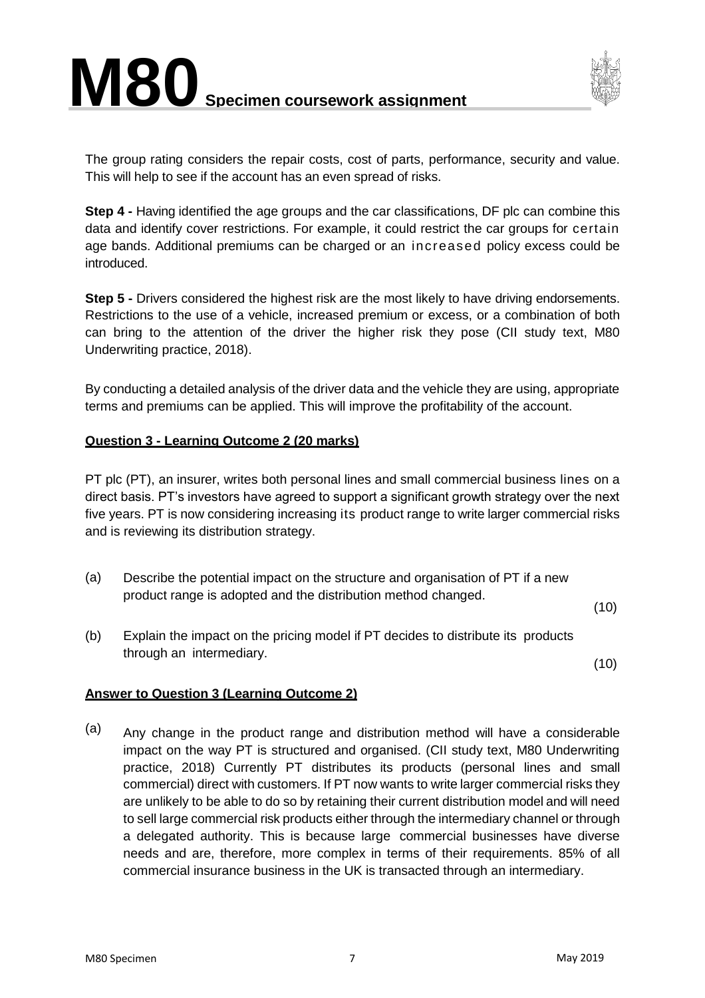

The group rating considers the repair costs, cost of parts, performance, security and value. This will help to see if the account has an even spread of risks.

**Step 4 -** Having identified the age groups and the car classifications, DF plc can combine this data and identify cover restrictions. For example, it could restrict the car groups for certain age bands. Additional premiums can be charged or an increased policy excess could be introduced.

**Step 5 -** Drivers considered the highest risk are the most likely to have driving endorsements. Restrictions to the use of a vehicle, increased premium or excess, or a combination of both can bring to the attention of the driver the higher risk they pose (CII study text, M80 Underwriting practice, 2018).

By conducting a detailed analysis of the driver data and the vehicle they are using, appropriate terms and premiums can be applied. This will improve the profitability of the account.

#### **Question 3 - Learning Outcome 2 (20 marks)**

PT plc (PT), an insurer, writes both personal lines and small commercial business lines on a direct basis. PT's investors have agreed to support a significant growth strategy over the next five years. PT is now considering increasing its product range to write larger commercial risks and is reviewing its distribution strategy.

(a) Describe the potential impact on the structure and organisation of PT if a new product range is adopted and the distribution method changed.

(10)

(b) Explain the impact on the pricing model if PT decides to distribute its products through an intermediary.

(10)

#### **Answer to Question 3 (Learning Outcome 2)**

(a) Any change in the product range and distribution method will have a considerable impact on the way PT is structured and organised. (CII study text, M80 Underwriting practice, 2018) Currently PT distributes its products (personal lines and small commercial) direct with customers. If PT now wants to write larger commercial risks they are unlikely to be able to do so by retaining their current distribution model and will need to sell large commercial risk products either through the intermediary channel or through a delegated authority. This is because large commercial businesses have diverse needs and are, therefore, more complex in terms of their requirements. 85% of all commercial insurance business in the UK is transacted through an intermediary.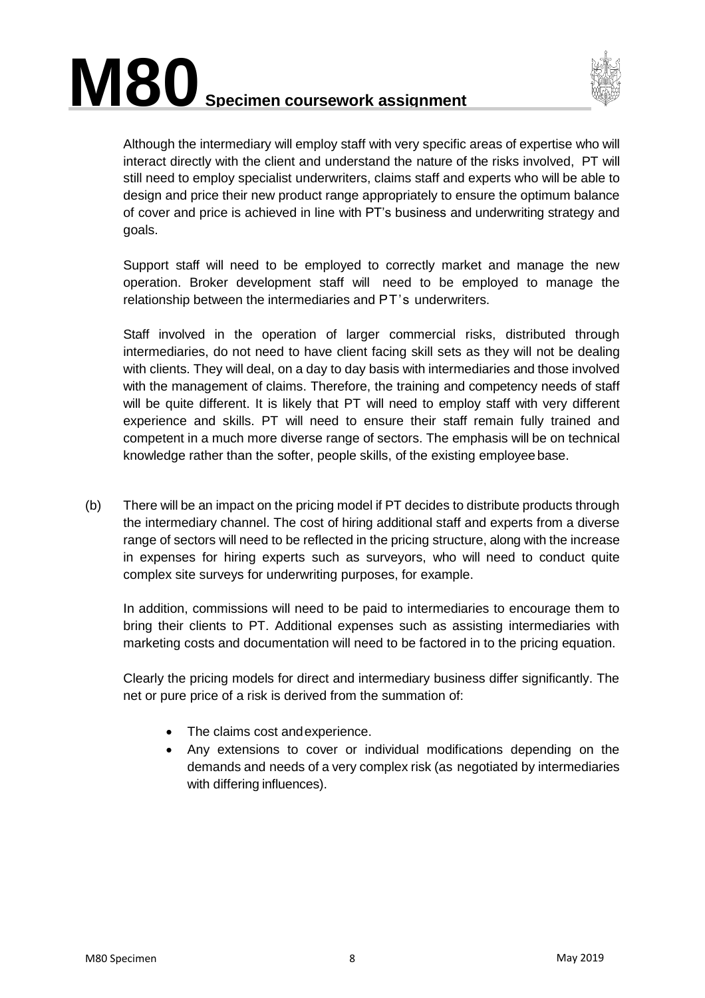



Although the intermediary will employ staff with very specific areas of expertise who will interact directly with the client and understand the nature of the risks involved, PT will still need to employ specialist underwriters, claims staff and experts who will be able to design and price their new product range appropriately to ensure the optimum balance of cover and price is achieved in line with PT's business and underwriting strategy and goals.

Support staff will need to be employed to correctly market and manage the new operation. Broker development staff will need to be employed to manage the relationship between the intermediaries and PT's underwriters.

Staff involved in the operation of larger commercial risks, distributed through intermediaries, do not need to have client facing skill sets as they will not be dealing with clients. They will deal, on a day to day basis with intermediaries and those involved with the management of claims. Therefore, the training and competency needs of staff will be quite different. It is likely that PT will need to employ staff with very different experience and skills. PT will need to ensure their staff remain fully trained and competent in a much more diverse range of sectors. The emphasis will be on technical knowledge rather than the softer, people skills, of the existing employee base.

(b) There will be an impact on the pricing model if PT decides to distribute products through the intermediary channel. The cost of hiring additional staff and experts from a diverse range of sectors will need to be reflected in the pricing structure, along with the increase in expenses for hiring experts such as surveyors, who will need to conduct quite complex site surveys for underwriting purposes, for example.

In addition, commissions will need to be paid to intermediaries to encourage them to bring their clients to PT. Additional expenses such as assisting intermediaries with marketing costs and documentation will need to be factored in to the pricing equation.

Clearly the pricing models for direct and intermediary business differ significantly. The net or pure price of a risk is derived from the summation of:

- The claims cost andexperience.
- Any extensions to cover or individual modifications depending on the demands and needs of a very complex risk (as negotiated by intermediaries with differing influences).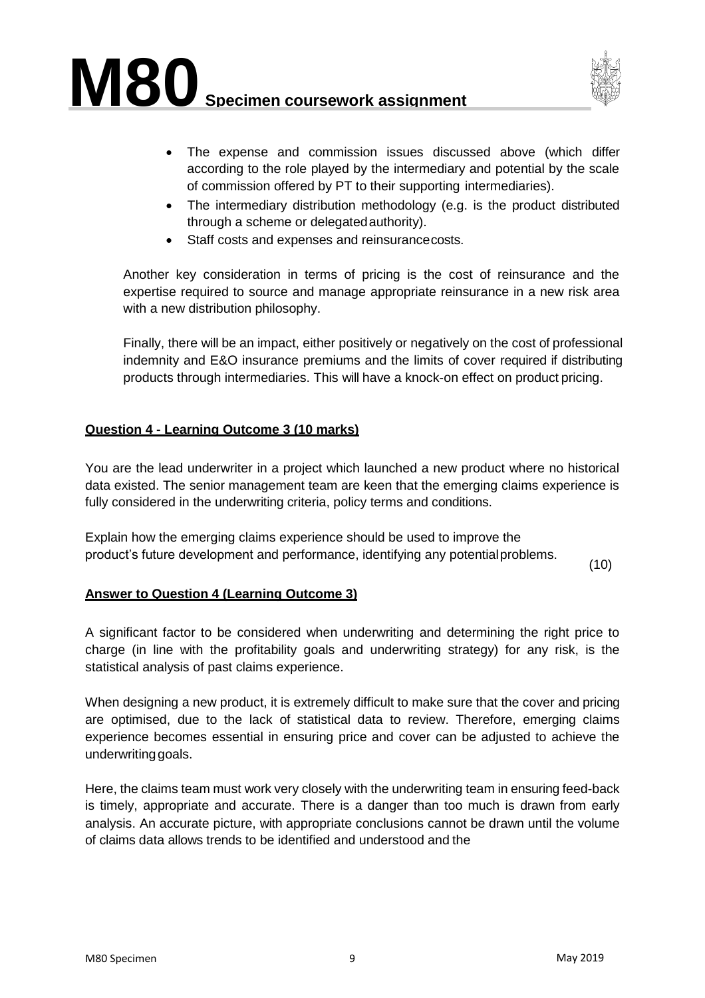



- The expense and commission issues discussed above (which differ according to the role played by the intermediary and potential by the scale of commission offered by PT to their supporting intermediaries).
- The intermediary distribution methodology (e.g. is the product distributed through a scheme or delegatedauthority).
- Staff costs and expenses and reinsurance costs.

Another key consideration in terms of pricing is the cost of reinsurance and the expertise required to source and manage appropriate reinsurance in a new risk area with a new distribution philosophy.

Finally, there will be an impact, either positively or negatively on the cost of professional indemnity and E&O insurance premiums and the limits of cover required if distributing products through intermediaries. This will have a knock-on effect on product pricing.

#### **Question 4 - Learning Outcome 3 (10 marks)**

You are the lead underwriter in a project which launched a new product where no historical data existed. The senior management team are keen that the emerging claims experience is fully considered in the underwriting criteria, policy terms and conditions.

Explain how the emerging claims experience should be used to improve the product's future development and performance, identifying any potentialproblems.

(10)

#### **Answer to Question 4 (Learning Outcome 3)**

A significant factor to be considered when underwriting and determining the right price to charge (in line with the profitability goals and underwriting strategy) for any risk, is the statistical analysis of past claims experience.

When designing a new product, it is extremely difficult to make sure that the cover and pricing are optimised, due to the lack of statistical data to review. Therefore, emerging claims experience becomes essential in ensuring price and cover can be adjusted to achieve the underwritinggoals.

Here, the claims team must work very closely with the underwriting team in ensuring feed-back is timely, appropriate and accurate. There is a danger than too much is drawn from early analysis. An accurate picture, with appropriate conclusions cannot be drawn until the volume of claims data allows trends to be identified and understood and the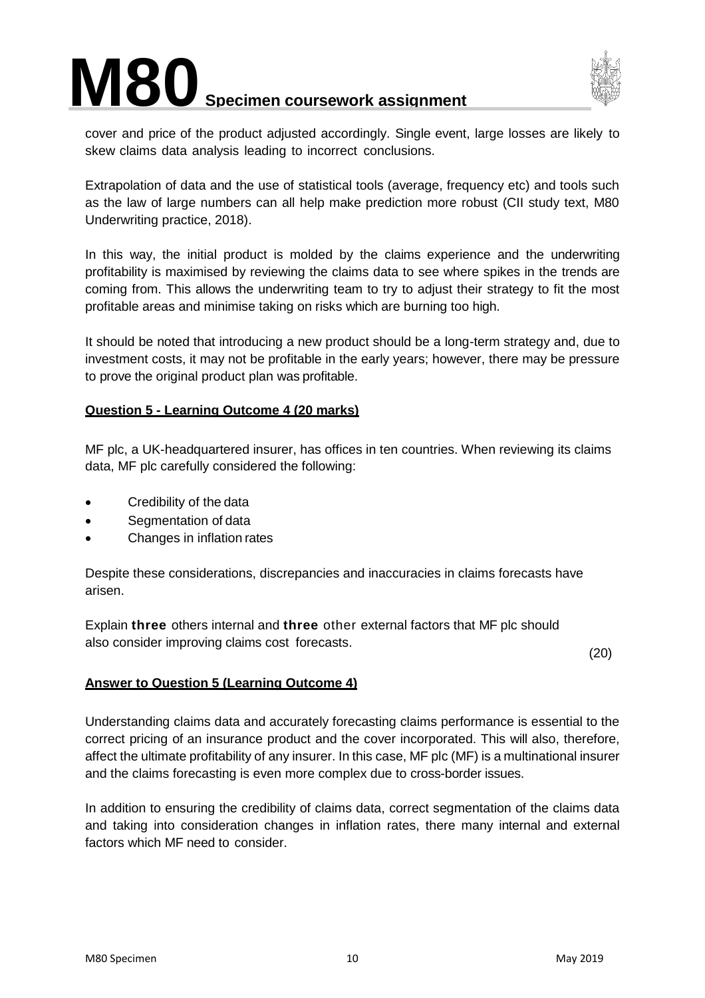



cover and price of the product adjusted accordingly. Single event, large losses are likely to skew claims data analysis leading to incorrect conclusions.

Extrapolation of data and the use of statistical tools (average, frequency etc) and tools such as the law of large numbers can all help make prediction more robust (CII study text, M80 Underwriting practice, 2018).

In this way, the initial product is molded by the claims experience and the underwriting profitability is maximised by reviewing the claims data to see where spikes in the trends are coming from. This allows the underwriting team to try to adjust their strategy to fit the most profitable areas and minimise taking on risks which are burning too high.

It should be noted that introducing a new product should be a long-term strategy and, due to investment costs, it may not be profitable in the early years; however, there may be pressure to prove the original product plan was profitable.

#### **Question 5 - Learning Outcome 4 (20 marks)**

MF plc, a UK-headquartered insurer, has offices in ten countries. When reviewing its claims data, MF plc carefully considered the following:

- Credibility of the data
- Segmentation of data
- Changes in inflation rates

Despite these considerations, discrepancies and inaccuracies in claims forecasts have arisen.

Explain **three** others internal and **three** other external factors that MF plc should also consider improving claims cost forecasts.

(20)

#### **Answer to Question 5 (Learning Outcome 4)**

Understanding claims data and accurately forecasting claims performance is essential to the correct pricing of an insurance product and the cover incorporated. This will also, therefore, affect the ultimate profitability of any insurer. In this case, MF plc (MF) is a multinational insurer and the claims forecasting is even more complex due to cross-border issues.

In addition to ensuring the credibility of claims data, correct segmentation of the claims data and taking into consideration changes in inflation rates, there many internal and external factors which MF need to consider.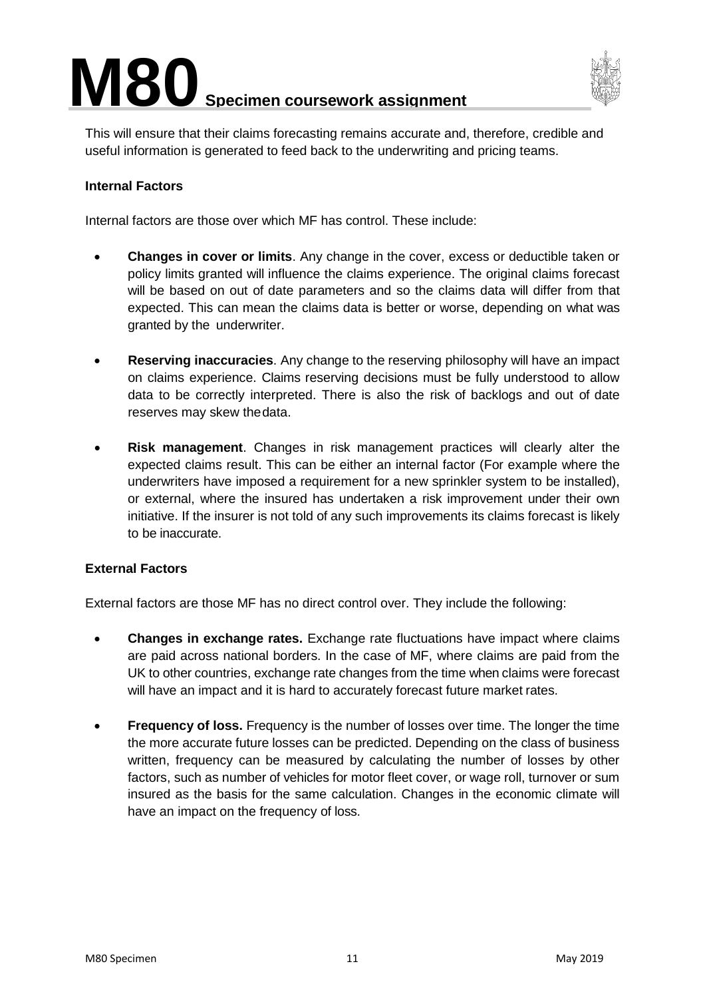

This will ensure that their claims forecasting remains accurate and, therefore, credible and useful information is generated to feed back to the underwriting and pricing teams.

#### **Internal Factors**

Internal factors are those over which MF has control. These include:

- **Changes in cover or limits**. Any change in the cover, excess or deductible taken or policy limits granted will influence the claims experience. The original claims forecast will be based on out of date parameters and so the claims data will differ from that expected. This can mean the claims data is better or worse, depending on what was granted by the underwriter.
- **Reserving inaccuracies**. Any change to the reserving philosophy will have an impact on claims experience. Claims reserving decisions must be fully understood to allow data to be correctly interpreted. There is also the risk of backlogs and out of date reserves may skew thedata.
- **Risk management**. Changes in risk management practices will clearly alter the expected claims result. This can be either an internal factor (For example where the underwriters have imposed a requirement for a new sprinkler system to be installed), or external, where the insured has undertaken a risk improvement under their own initiative. If the insurer is not told of any such improvements its claims forecast is likely to be inaccurate.

#### **External Factors**

External factors are those MF has no direct control over. They include the following:

- **Changes in exchange rates.** Exchange rate fluctuations have impact where claims are paid across national borders. In the case of MF, where claims are paid from the UK to other countries, exchange rate changes from the time when claims were forecast will have an impact and it is hard to accurately forecast future market rates.
- **Frequency of loss.** Frequency is the number of losses over time. The longer the time the more accurate future losses can be predicted. Depending on the class of business written, frequency can be measured by calculating the number of losses by other factors, such as number of vehicles for motor fleet cover, or wage roll, turnover or sum insured as the basis for the same calculation. Changes in the economic climate will have an impact on the frequency of loss.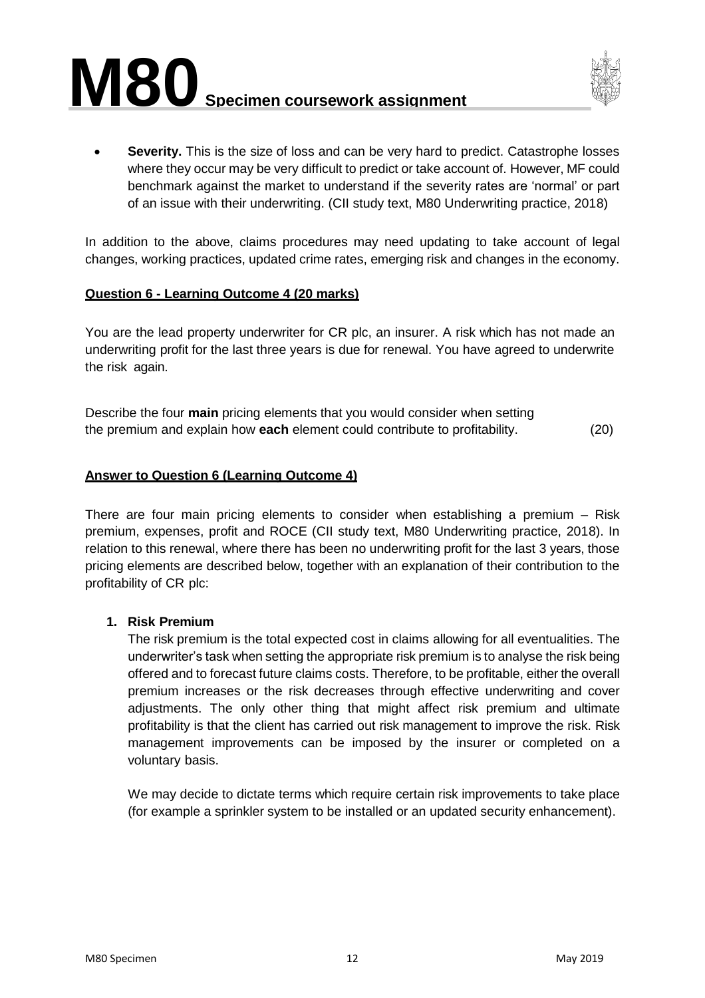



**Severity.** This is the size of loss and can be very hard to predict. Catastrophe losses where they occur may be very difficult to predict or take account of. However, MF could benchmark against the market to understand if the severity rates are 'normal' or part of an issue with their underwriting. (CII study text, M80 Underwriting practice, 2018)

In addition to the above, claims procedures may need updating to take account of legal changes, working practices, updated crime rates, emerging risk and changes in the economy.

#### **Question 6 - Learning Outcome 4 (20 marks)**

You are the lead property underwriter for CR plc, an insurer. A risk which has not made an underwriting profit for the last three years is due for renewal. You have agreed to underwrite the risk again.

Describe the four **main** pricing elements that you would consider when setting the premium and explain how **each** element could contribute to profitability. (20)

#### **Answer to Question 6 (Learning Outcome 4)**

There are four main pricing elements to consider when establishing a premium – Risk premium, expenses, profit and ROCE (CII study text, M80 Underwriting practice, 2018). In relation to this renewal, where there has been no underwriting profit for the last 3 years, those pricing elements are described below, together with an explanation of their contribution to the profitability of CR plc:

#### **1. Risk Premium**

The risk premium is the total expected cost in claims allowing for all eventualities. The underwriter's task when setting the appropriate risk premium is to analyse the risk being offered and to forecast future claims costs. Therefore, to be profitable, either the overall premium increases or the risk decreases through effective underwriting and cover adjustments. The only other thing that might affect risk premium and ultimate profitability is that the client has carried out risk management to improve the risk. Risk management improvements can be imposed by the insurer or completed on a voluntary basis.

We may decide to dictate terms which require certain risk improvements to take place (for example a sprinkler system to be installed or an updated security enhancement).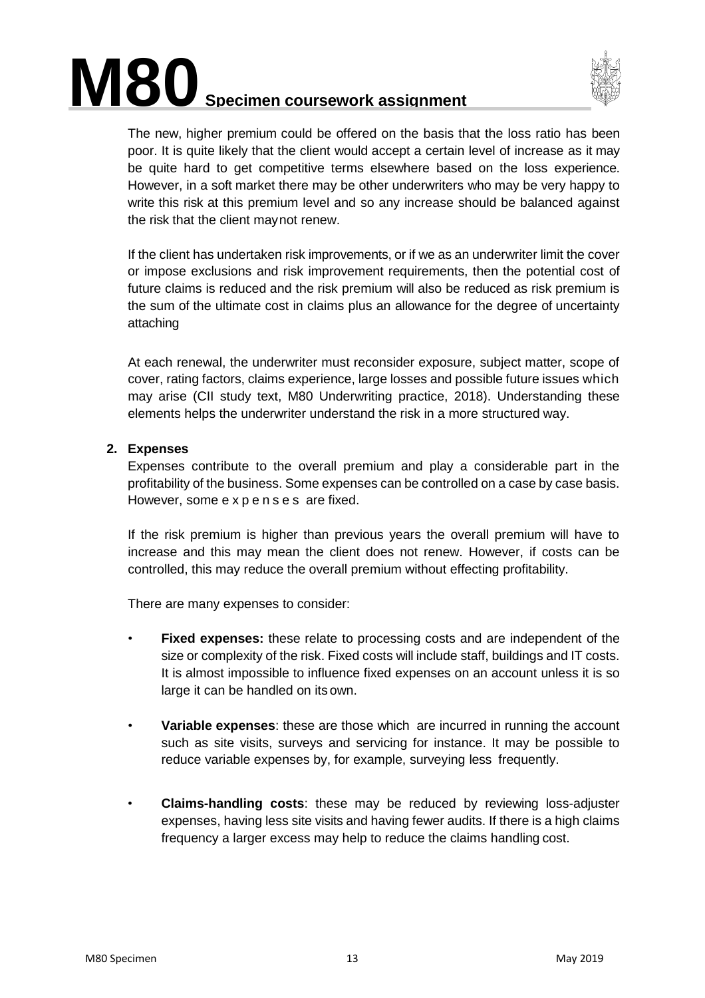



The new, higher premium could be offered on the basis that the loss ratio has been poor. It is quite likely that the client would accept a certain level of increase as it may be quite hard to get competitive terms elsewhere based on the loss experience. However, in a soft market there may be other underwriters who may be very happy to write this risk at this premium level and so any increase should be balanced against the risk that the client maynot renew.

If the client has undertaken risk improvements, or if we as an underwriter limit the cover or impose exclusions and risk improvement requirements, then the potential cost of future claims is reduced and the risk premium will also be reduced as risk premium is the sum of the ultimate cost in claims plus an allowance for the degree of uncertainty attaching

At each renewal, the underwriter must reconsider exposure, subject matter, scope of cover, rating factors, claims experience, large losses and possible future issues which may arise (CII study text, M80 Underwriting practice, 2018). Understanding these elements helps the underwriter understand the risk in a more structured way.

#### **2. Expenses**

Expenses contribute to the overall premium and play a considerable part in the profitability of the business. Some expenses can be controlled on a case by case basis. However, some expenses are fixed.

If the risk premium is higher than previous years the overall premium will have to increase and this may mean the client does not renew. However, if costs can be controlled, this may reduce the overall premium without effecting profitability.

There are many expenses to consider:

- **Fixed expenses:** these relate to processing costs and are independent of the size or complexity of the risk. Fixed costs will include staff, buildings and IT costs. It is almost impossible to influence fixed expenses on an account unless it is so large it can be handled on its own.
- **Variable expenses**: these are those which are incurred in running the account such as site visits, surveys and servicing for instance. It may be possible to reduce variable expenses by, for example, surveying less frequently.
- **Claims-handling costs**: these may be reduced by reviewing loss-adjuster expenses, having less site visits and having fewer audits. If there is a high claims frequency a larger excess may help to reduce the claims handling cost.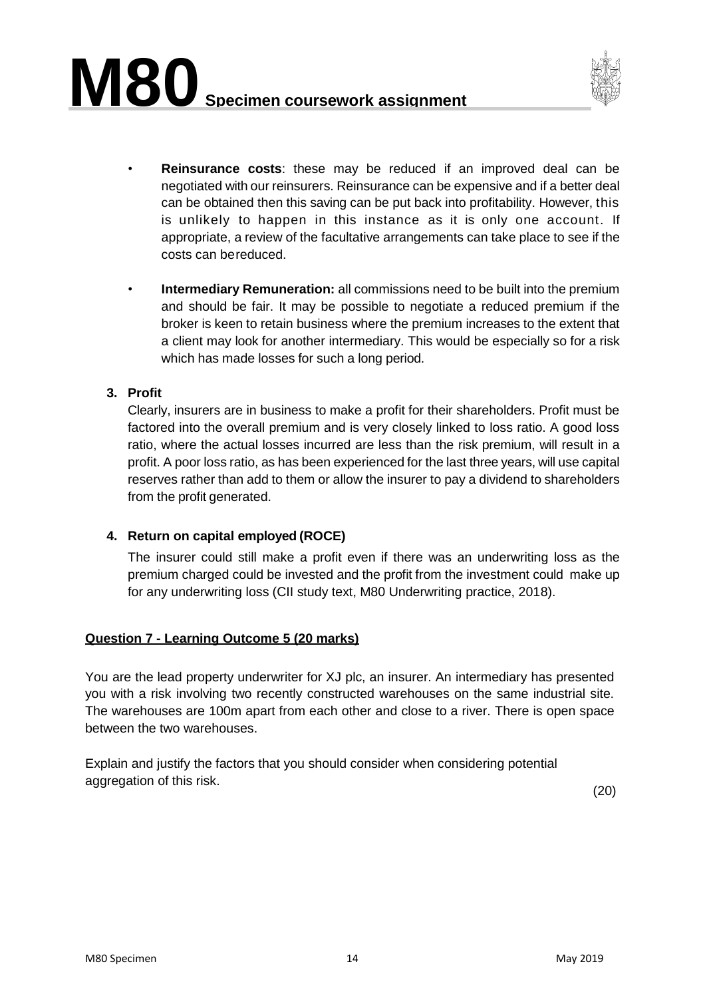

- **Reinsurance costs**: these may be reduced if an improved deal can be negotiated with our reinsurers. Reinsurance can be expensive and if a better deal can be obtained then this saving can be put back into profitability. However, this is unlikely to happen in this instance as it is only one account. If appropriate, a review of the facultative arrangements can take place to see if the costs can bereduced.
- **Intermediary Remuneration:** all commissions need to be built into the premium and should be fair. It may be possible to negotiate a reduced premium if the broker is keen to retain business where the premium increases to the extent that a client may look for another intermediary. This would be especially so for a risk which has made losses for such a long period.

#### **3. Profit**

Clearly, insurers are in business to make a profit for their shareholders. Profit must be factored into the overall premium and is very closely linked to loss ratio. A good loss ratio, where the actual losses incurred are less than the risk premium, will result in a profit. A poor loss ratio, as has been experienced for the last three years, will use capital reserves rather than add to them or allow the insurer to pay a dividend to shareholders from the profit generated.

#### **4. Return on capital employed (ROCE)**

The insurer could still make a profit even if there was an underwriting loss as the premium charged could be invested and the profit from the investment could make up for any underwriting loss (CII study text, M80 Underwriting practice, 2018).

#### **Question 7 - Learning Outcome 5 (20 marks)**

You are the lead property underwriter for XJ plc, an insurer. An intermediary has presented you with a risk involving two recently constructed warehouses on the same industrial site. The warehouses are 100m apart from each other and close to a river. There is open space between the two warehouses.

Explain and justify the factors that you should consider when considering potential aggregation of this risk.

(20)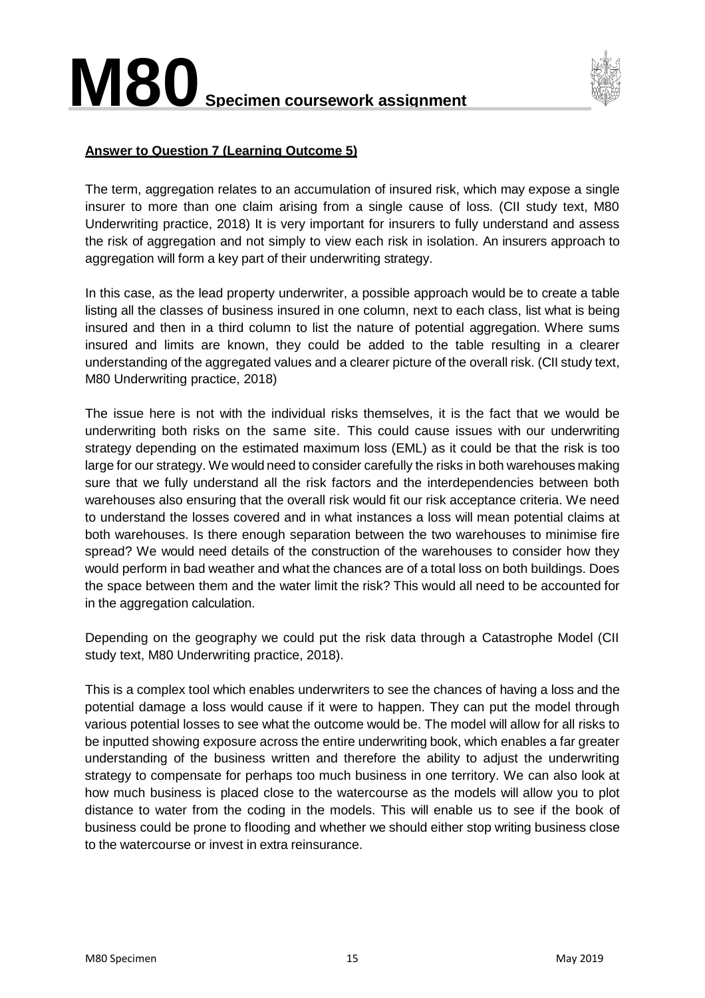

#### **Answer to Question 7 (Learning Outcome 5)**

The term, aggregation relates to an accumulation of insured risk, which may expose a single insurer to more than one claim arising from a single cause of loss. (CII study text, M80 Underwriting practice, 2018) It is very important for insurers to fully understand and assess the risk of aggregation and not simply to view each risk in isolation. An insurers approach to aggregation will form a key part of their underwriting strategy.

In this case, as the lead property underwriter, a possible approach would be to create a table listing all the classes of business insured in one column, next to each class, list what is being insured and then in a third column to list the nature of potential aggregation. Where sums insured and limits are known, they could be added to the table resulting in a clearer understanding of the aggregated values and a clearer picture of the overall risk. (CII study text, M80 Underwriting practice, 2018)

The issue here is not with the individual risks themselves, it is the fact that we would be underwriting both risks on the same site. This could cause issues with our underwriting strategy depending on the estimated maximum loss (EML) as it could be that the risk is too large for our strategy. We would need to consider carefully the risks in both warehouses making sure that we fully understand all the risk factors and the interdependencies between both warehouses also ensuring that the overall risk would fit our risk acceptance criteria. We need to understand the losses covered and in what instances a loss will mean potential claims at both warehouses. Is there enough separation between the two warehouses to minimise fire spread? We would need details of the construction of the warehouses to consider how they would perform in bad weather and what the chances are of a total loss on both buildings. Does the space between them and the water limit the risk? This would all need to be accounted for in the aggregation calculation.

Depending on the geography we could put the risk data through a Catastrophe Model (CII study text, M80 Underwriting practice, 2018).

This is a complex tool which enables underwriters to see the chances of having a loss and the potential damage a loss would cause if it were to happen. They can put the model through various potential losses to see what the outcome would be. The model will allow for all risks to be inputted showing exposure across the entire underwriting book, which enables a far greater understanding of the business written and therefore the ability to adjust the underwriting strategy to compensate for perhaps too much business in one territory. We can also look at how much business is placed close to the watercourse as the models will allow you to plot distance to water from the coding in the models. This will enable us to see if the book of business could be prone to flooding and whether we should either stop writing business close to the watercourse or invest in extra reinsurance.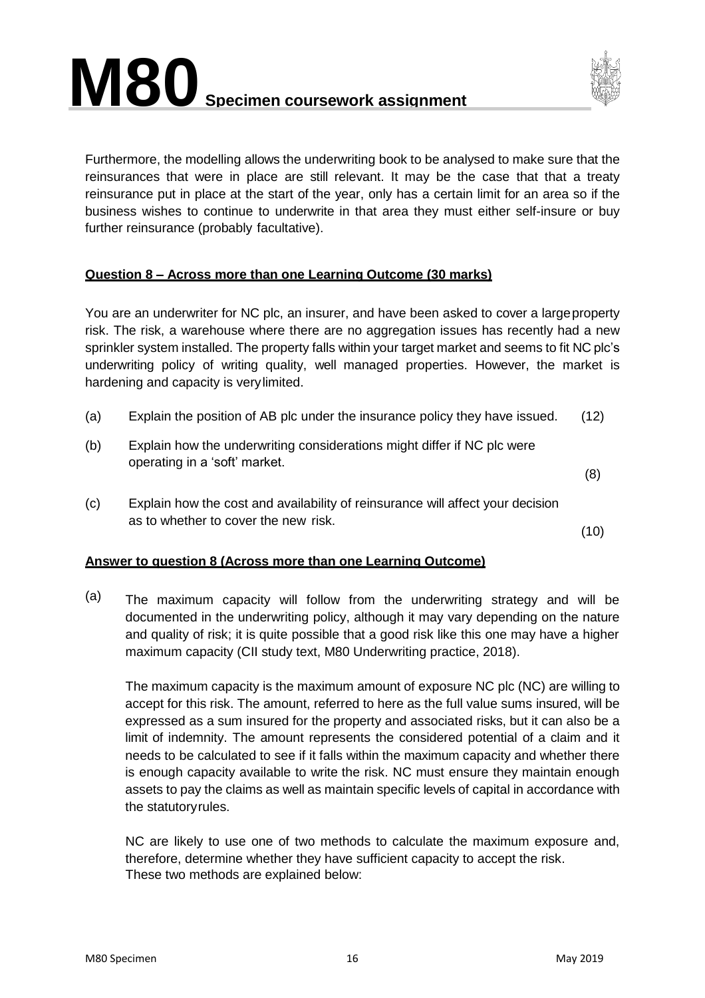



Furthermore, the modelling allows the underwriting book to be analysed to make sure that the reinsurances that were in place are still relevant. It may be the case that that a treaty reinsurance put in place at the start of the year, only has a certain limit for an area so if the business wishes to continue to underwrite in that area they must either self-insure or buy further reinsurance (probably facultative).

#### **Question 8 – Across more than one Learning Outcome (30 marks)**

You are an underwriter for NC plc, an insurer, and have been asked to cover a largeproperty risk. The risk, a warehouse where there are no aggregation issues has recently had a new sprinkler system installed. The property falls within your target market and seems to fit NC plc's underwriting policy of writing quality, well managed properties. However, the market is hardening and capacity is verylimited.

- (a) Explain the position of AB plc under the insurance policy they have issued. (12)
- (b) Explain how the underwriting considerations might differ if NC plc were operating in a 'soft' market.

(8)

(c) Explain how the cost and availability of reinsurance will affect your decision as to whether to cover the new risk.

(10)

#### **Answer to question 8 (Across more than one Learning Outcome)**

(a) The maximum capacity will follow from the underwriting strategy and will be documented in the underwriting policy, although it may vary depending on the nature and quality of risk; it is quite possible that a good risk like this one may have a higher maximum capacity (CII study text, M80 Underwriting practice, 2018).

The maximum capacity is the maximum amount of exposure NC plc (NC) are willing to accept for this risk. The amount, referred to here as the full value sums insured, will be expressed as a sum insured for the property and associated risks, but it can also be a limit of indemnity. The amount represents the considered potential of a claim and it needs to be calculated to see if it falls within the maximum capacity and whether there is enough capacity available to write the risk. NC must ensure they maintain enough assets to pay the claims as well as maintain specific levels of capital in accordance with the statutoryrules.

NC are likely to use one of two methods to calculate the maximum exposure and, therefore, determine whether they have sufficient capacity to accept the risk. These two methods are explained below: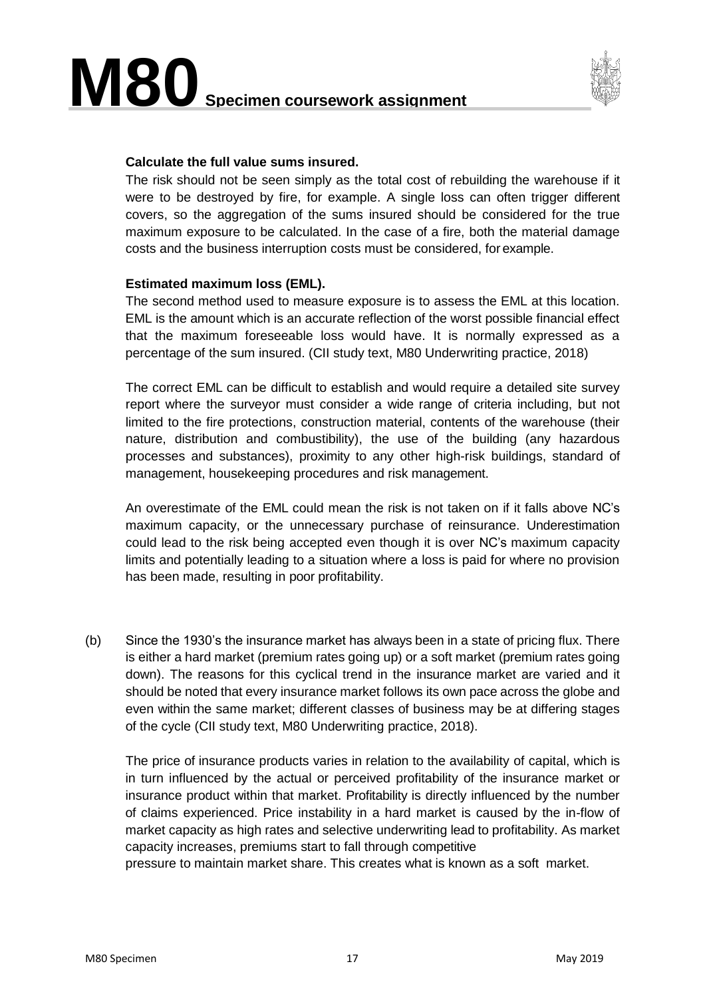

#### **Calculate the full value sums insured.**

The risk should not be seen simply as the total cost of rebuilding the warehouse if it were to be destroyed by fire, for example. A single loss can often trigger different covers, so the aggregation of the sums insured should be considered for the true maximum exposure to be calculated. In the case of a fire, both the material damage costs and the business interruption costs must be considered, for example.

#### **Estimated maximum loss (EML).**

The second method used to measure exposure is to assess the EML at this location. EML is the amount which is an accurate reflection of the worst possible financial effect that the maximum foreseeable loss would have. It is normally expressed as a percentage of the sum insured. (CII study text, M80 Underwriting practice, 2018)

The correct EML can be difficult to establish and would require a detailed site survey report where the surveyor must consider a wide range of criteria including, but not limited to the fire protections, construction material, contents of the warehouse (their nature, distribution and combustibility), the use of the building (any hazardous processes and substances), proximity to any other high-risk buildings, standard of management, housekeeping procedures and risk management.

An overestimate of the EML could mean the risk is not taken on if it falls above NC's maximum capacity, or the unnecessary purchase of reinsurance. Underestimation could lead to the risk being accepted even though it is over NC's maximum capacity limits and potentially leading to a situation where a loss is paid for where no provision has been made, resulting in poor profitability.

(b) Since the 1930's the insurance market has always been in a state of pricing flux. There is either a hard market (premium rates going up) or a soft market (premium rates going down). The reasons for this cyclical trend in the insurance market are varied and it should be noted that every insurance market follows its own pace across the globe and even within the same market; different classes of business may be at differing stages of the cycle (CII study text, M80 Underwriting practice, 2018).

The price of insurance products varies in relation to the availability of capital, which is in turn influenced by the actual or perceived profitability of the insurance market or insurance product within that market. Profitability is directly influenced by the number of claims experienced. Price instability in a hard market is caused by the in-flow of market capacity as high rates and selective underwriting lead to profitability. As market capacity increases, premiums start to fall through competitive

pressure to maintain market share. This creates what is known as a soft market.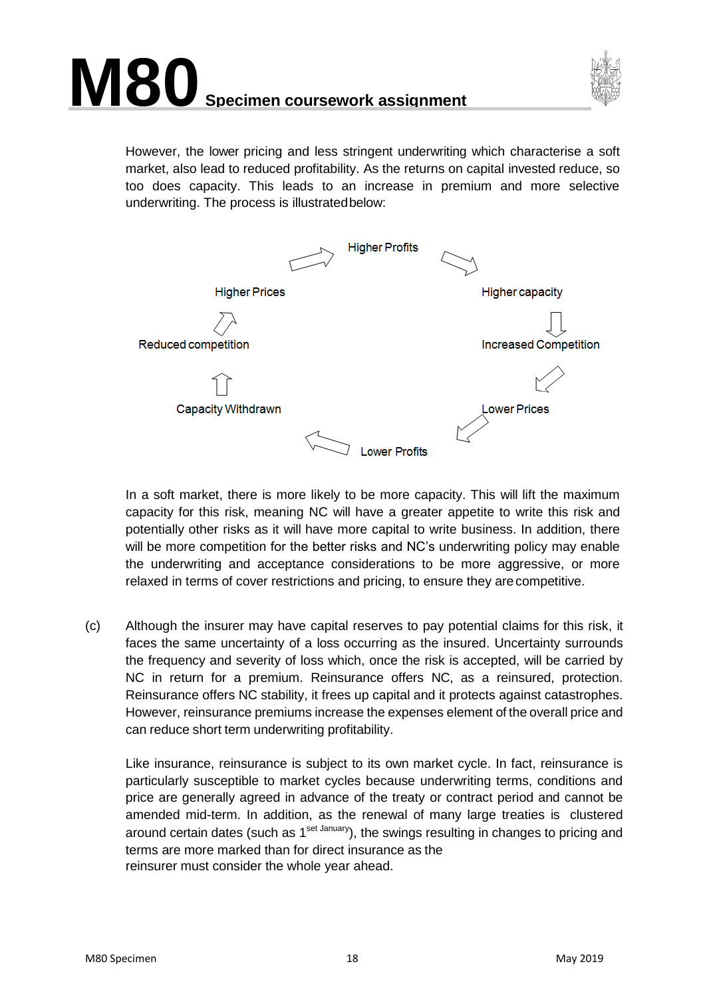



However, the lower pricing and less stringent underwriting which characterise a soft market, also lead to reduced profitability. As the returns on capital invested reduce, so too does capacity. This leads to an increase in premium and more selective underwriting. The process is illustratedbelow:



In a soft market, there is more likely to be more capacity. This will lift the maximum capacity for this risk, meaning NC will have a greater appetite to write this risk and potentially other risks as it will have more capital to write business. In addition, there will be more competition for the better risks and NC's underwriting policy may enable the underwriting and acceptance considerations to be more aggressive, or more relaxed in terms of cover restrictions and pricing, to ensure they arecompetitive.

(c) Although the insurer may have capital reserves to pay potential claims for this risk, it faces the same uncertainty of a loss occurring as the insured. Uncertainty surrounds the frequency and severity of loss which, once the risk is accepted, will be carried by NC in return for a premium. Reinsurance offers NC, as a reinsured, protection. Reinsurance offers NC stability, it frees up capital and it protects against catastrophes. However, reinsurance premiums increase the expenses element of the overall price and can reduce short term underwriting profitability.

Like insurance, reinsurance is subject to its own market cycle. In fact, reinsurance is particularly susceptible to market cycles because underwriting terms, conditions and price are generally agreed in advance of the treaty or contract period and cannot be amended mid-term. In addition, as the renewal of many large treaties is clustered around certain dates (such as  $1^{set\}$  January), the swings resulting in changes to pricing and terms are more marked than for direct insurance as the reinsurer must consider the whole year ahead.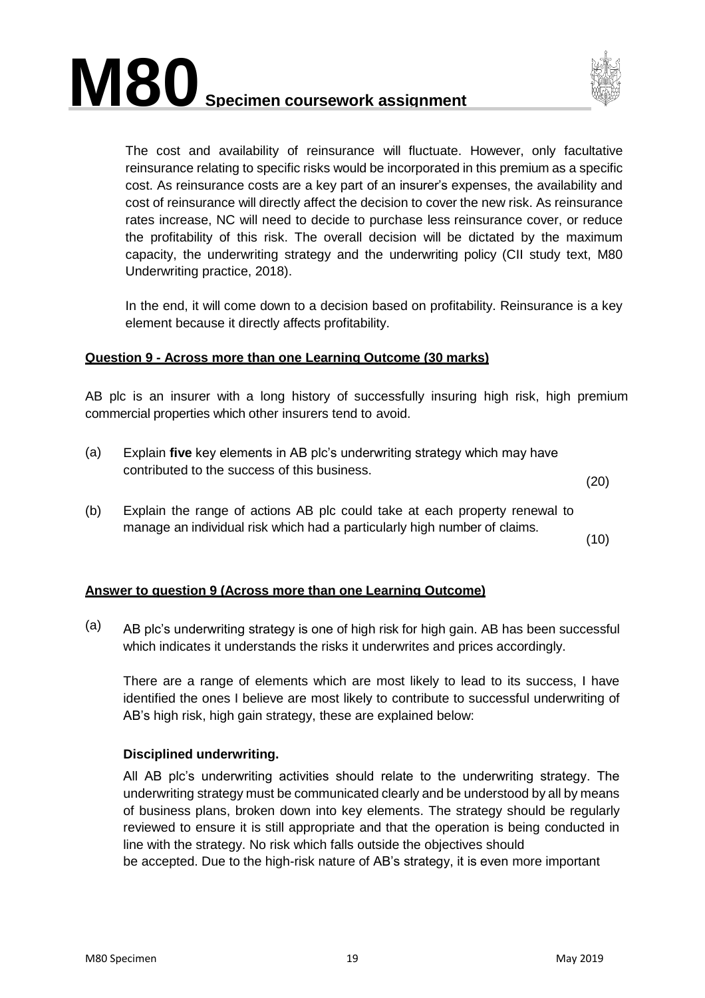



The cost and availability of reinsurance will fluctuate. However, only facultative reinsurance relating to specific risks would be incorporated in this premium as a specific cost. As reinsurance costs are a key part of an insurer's expenses, the availability and cost of reinsurance will directly affect the decision to cover the new risk. As reinsurance rates increase, NC will need to decide to purchase less reinsurance cover, or reduce the profitability of this risk. The overall decision will be dictated by the maximum capacity, the underwriting strategy and the underwriting policy (CII study text, M80 Underwriting practice, 2018).

In the end, it will come down to a decision based on profitability. Reinsurance is a key element because it directly affects profitability.

#### **Question 9 - Across more than one Learning Outcome (30 marks)**

AB plc is an insurer with a long history of successfully insuring high risk, high premium commercial properties which other insurers tend to avoid.

(a) Explain **five** key elements in AB plc's underwriting strategy which may have contributed to the success of this business.

(20)

(b) Explain the range of actions AB plc could take at each property renewal to manage an individual risk which had a particularly high number of claims.

(10)

#### **Answer to question 9 (Across more than one Learning Outcome)**

(a) AB plc's underwriting strategy is one of high risk for high gain. AB has been successful which indicates it understands the risks it underwrites and prices accordingly.

There are a range of elements which are most likely to lead to its success, I have identified the ones I believe are most likely to contribute to successful underwriting of AB's high risk, high gain strategy, these are explained below:

#### **Disciplined underwriting.**

All AB plc's underwriting activities should relate to the underwriting strategy. The underwriting strategy must be communicated clearly and be understood by all by means of business plans, broken down into key elements. The strategy should be regularly reviewed to ensure it is still appropriate and that the operation is being conducted in line with the strategy. No risk which falls outside the objectives should be accepted. Due to the high-risk nature of AB's strategy, it is even more important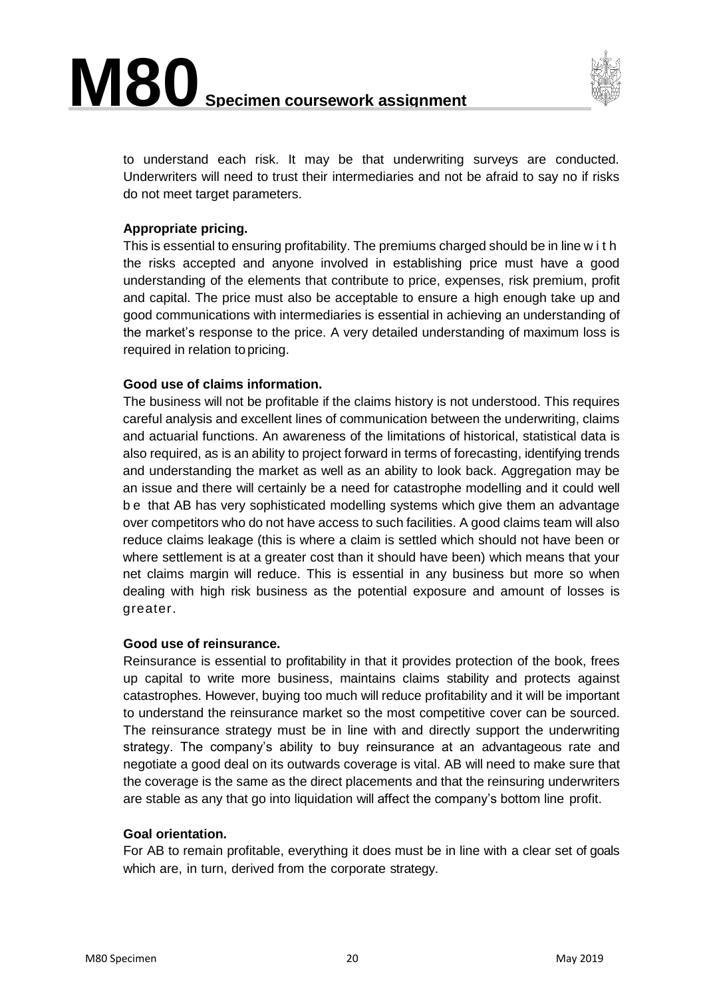

to understand each risk. It may be that underwriting surveys are conducted. Underwriters will need to trust their intermediaries and not be afraid to say no if risks do not meet target parameters.

#### **Appropriate pricing.**

This is essential to ensuring profitability. The premiums charged should be in line w i t h the risks accepted and anyone involved in establishing price must have a good understanding of the elements that contribute to price, expenses, risk premium, profit and capital. The price must also be acceptable to ensure a high enough take up and good communications with intermediaries is essential in achieving an understanding of the market's response to the price. A very detailed understanding of maximum loss is required in relation topricing.

#### **Good use of claims information.**

The business will not be profitable if the claims history is not understood. This requires careful analysis and excellent lines of communication between the underwriting, claims and actuarial functions. An awareness of the limitations of historical, statistical data is also required, as is an ability to project forward in terms of forecasting, identifying trends and understanding the market as well as an ability to look back. Aggregation may be an issue and there will certainly be a need for catastrophe modelling and it could well b e that AB has very sophisticated modelling systems which give them an advantage over competitors who do not have access to such facilities. A good claims team will also reduce claims leakage (this is where a claim is settled which should not have been or where settlement is at a greater cost than it should have been) which means that your net claims margin will reduce. This is essential in any business but more so when dealing with high risk business as the potential exposure and amount of losses is greater.

#### **Good use of reinsurance.**

Reinsurance is essential to profitability in that it provides protection of the book, frees up capital to write more business, maintains claims stability and protects against catastrophes. However, buying too much will reduce profitability and it will be important to understand the reinsurance market so the most competitive cover can be sourced. The reinsurance strategy must be in line with and directly support the underwriting strategy. The company's ability to buy reinsurance at an advantageous rate and negotiate a good deal on its outwards coverage is vital. AB will need to make sure that the coverage is the same as the direct placements and that the reinsuring underwriters are stable as any that go into liquidation will affect the company's bottom line profit.

#### **Goal orientation.**

For AB to remain profitable, everything it does must be in line with a clear set of goals which are, in turn, derived from the corporate strategy.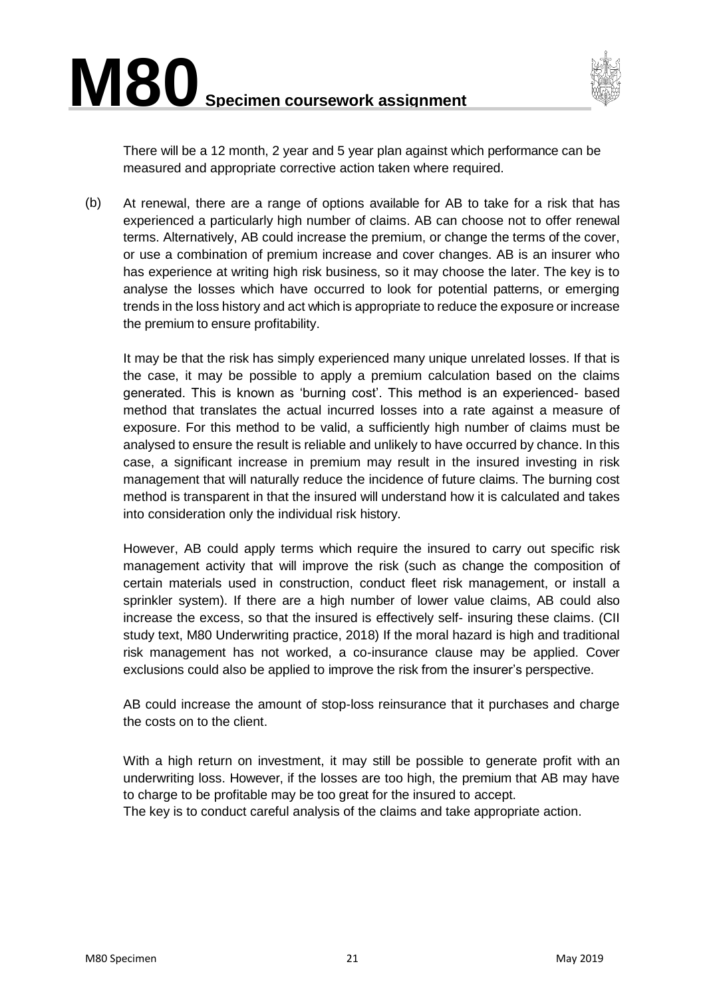

There will be a 12 month, 2 year and 5 year plan against which performance can be measured and appropriate corrective action taken where required.

(b) At renewal, there are a range of options available for AB to take for a risk that has experienced a particularly high number of claims. AB can choose not to offer renewal terms. Alternatively, AB could increase the premium, or change the terms of the cover, or use a combination of premium increase and cover changes. AB is an insurer who has experience at writing high risk business, so it may choose the later. The key is to analyse the losses which have occurred to look for potential patterns, or emerging trends in the loss history and act which is appropriate to reduce the exposure or increase the premium to ensure profitability.

It may be that the risk has simply experienced many unique unrelated losses. If that is the case, it may be possible to apply a premium calculation based on the claims generated. This is known as 'burning cost'. This method is an experienced- based method that translates the actual incurred losses into a rate against a measure of exposure. For this method to be valid, a sufficiently high number of claims must be analysed to ensure the result is reliable and unlikely to have occurred by chance. In this case, a significant increase in premium may result in the insured investing in risk management that will naturally reduce the incidence of future claims. The burning cost method is transparent in that the insured will understand how it is calculated and takes into consideration only the individual risk history.

However, AB could apply terms which require the insured to carry out specific risk management activity that will improve the risk (such as change the composition of certain materials used in construction, conduct fleet risk management, or install a sprinkler system). If there are a high number of lower value claims, AB could also increase the excess, so that the insured is effectively self- insuring these claims. (CII study text, M80 Underwriting practice, 2018) If the moral hazard is high and traditional risk management has not worked, a co-insurance clause may be applied. Cover exclusions could also be applied to improve the risk from the insurer's perspective.

AB could increase the amount of stop-loss reinsurance that it purchases and charge the costs on to the client.

With a high return on investment, it may still be possible to generate profit with an underwriting loss. However, if the losses are too high, the premium that AB may have to charge to be profitable may be too great for the insured to accept.

The key is to conduct careful analysis of the claims and take appropriate action.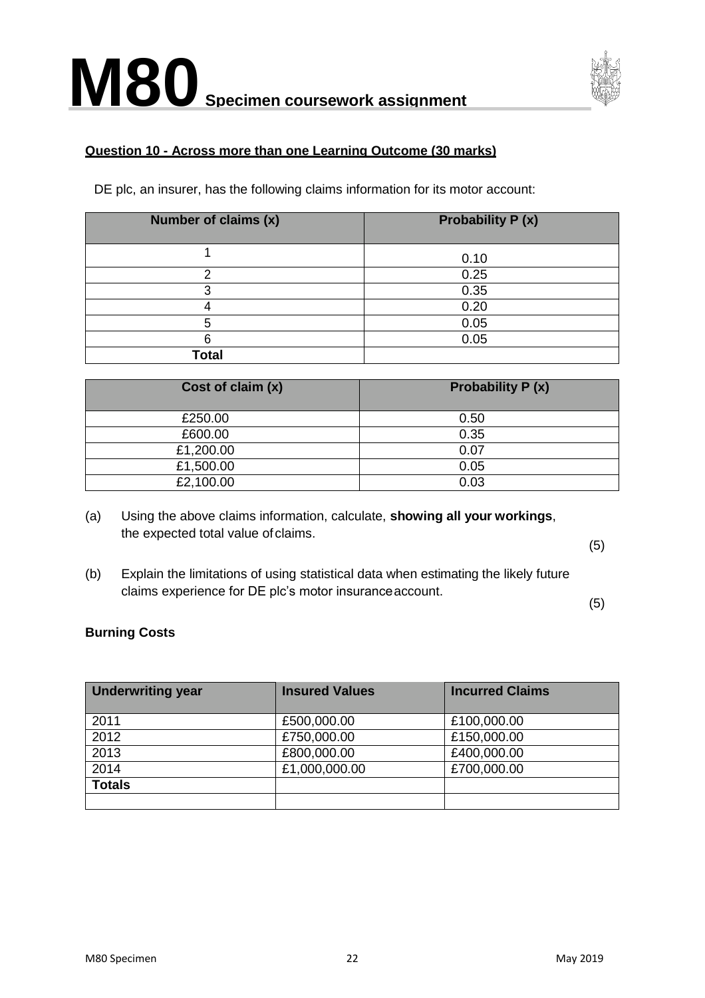

#### **Question 10 - Across more than one Learning Outcome (30 marks)**

DE plc, an insurer, has the following claims information for its motor account:

| Number of claims (x) | <b>Probability P (x)</b> |
|----------------------|--------------------------|
|                      | 0.10                     |
| o                    | 0.25                     |
|                      | 0.35                     |
|                      | 0.20                     |
|                      | 0.05                     |
|                      | 0.05                     |
| <b>Total</b>         |                          |

| Cost of claim (x) | <b>Probability P (x)</b> |
|-------------------|--------------------------|
| £250.00           | 0.50                     |
| £600.00           | 0.35                     |
| £1,200.00         | 0.07                     |
| £1,500.00         | 0.05                     |
| £2,100.00         | 0.03                     |

(a) Using the above claims information, calculate, **showing all your workings**, the expected total value of claims.

(5)

(b) Explain the limitations of using statistical data when estimating the likely future claims experience for DE plc's motor insuranceaccount.

(5)

#### **Burning Costs**

| <b>Underwriting year</b> | <b>Insured Values</b> | <b>Incurred Claims</b> |
|--------------------------|-----------------------|------------------------|
| 2011                     | £500,000.00           | £100,000.00            |
| 2012                     | £750,000.00           | £150,000.00            |
| 2013                     | £800,000.00           | £400,000.00            |
| 2014                     | £1,000,000.00         | £700,000.00            |
| <b>Totals</b>            |                       |                        |
|                          |                       |                        |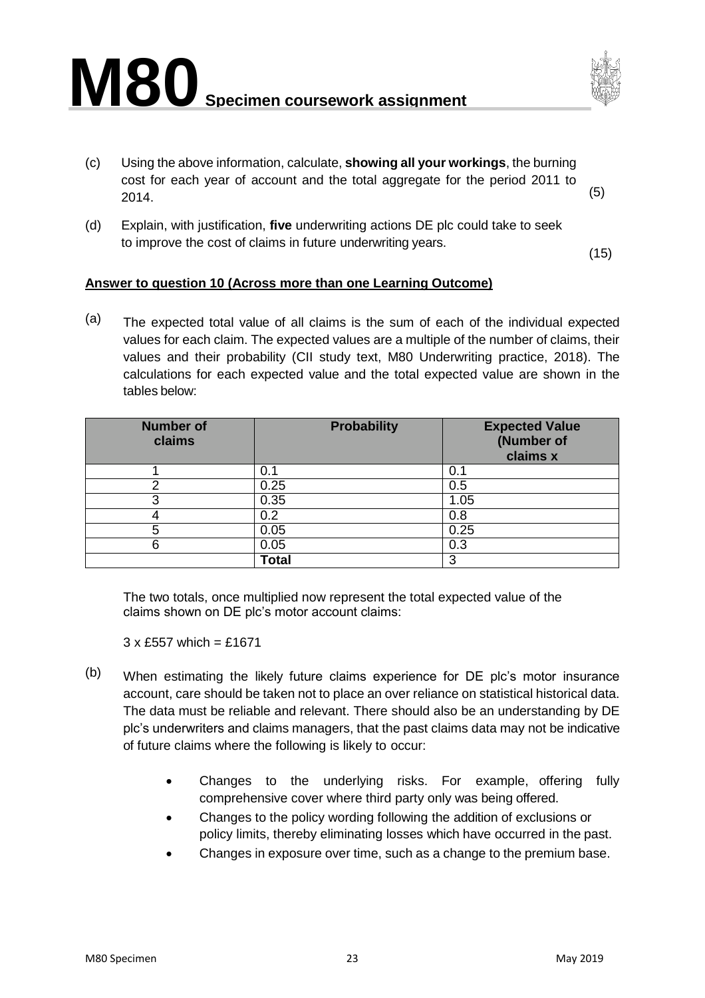



- (c) Using the above information, calculate, **showing all your workings**, the burning cost for each year of account and the total aggregate for the period 2011 to  $2014.$  (5)
- (d) Explain, with justification, **five** underwriting actions DE plc could take to seek to improve the cost of claims in future underwriting years.

(15)

#### **Answer to question 10 (Across more than one Learning Outcome)**

 $(a)$  The expected total value of all claims is the sum of each of the individual expected values for each claim. The expected values are a multiple of the number of claims, their values and their probability (CII study text, M80 Underwriting practice, 2018). The calculations for each expected value and the total expected value are shown in the tables below:

| <b>Number of</b><br>claims | <b>Probability</b> | <b>Expected Value</b><br>(Number of<br>claims x |
|----------------------------|--------------------|-------------------------------------------------|
|                            | 0.1                | 0.1                                             |
|                            | 0.25               | 0.5                                             |
|                            | 0.35               | 1.05                                            |
|                            | 0.2                | 0.8                                             |
|                            | 0.05               | 0.25                                            |
|                            | 0.05               | 0.3                                             |
|                            | <b>Total</b>       | 3                                               |

The two totals, once multiplied now represent the total expected value of the claims shown on DE plc's motor account claims:

 $3 \times$  £557 which = £1671

- (b) When estimating the likely future claims experience for DE plc's motor insurance account, care should be taken not to place an over reliance on statistical historical data. The data must be reliable and relevant. There should also be an understanding by DE plc's underwriters and claims managers, that the past claims data may not be indicative of future claims where the following is likely to occur:
	- Changes to the underlying risks. For example, offering fully comprehensive cover where third party only was being offered.
	- Changes to the policy wording following the addition of exclusions or policy limits, thereby eliminating losses which have occurred in the past.
	- Changes in exposure over time, such as a change to the premium base.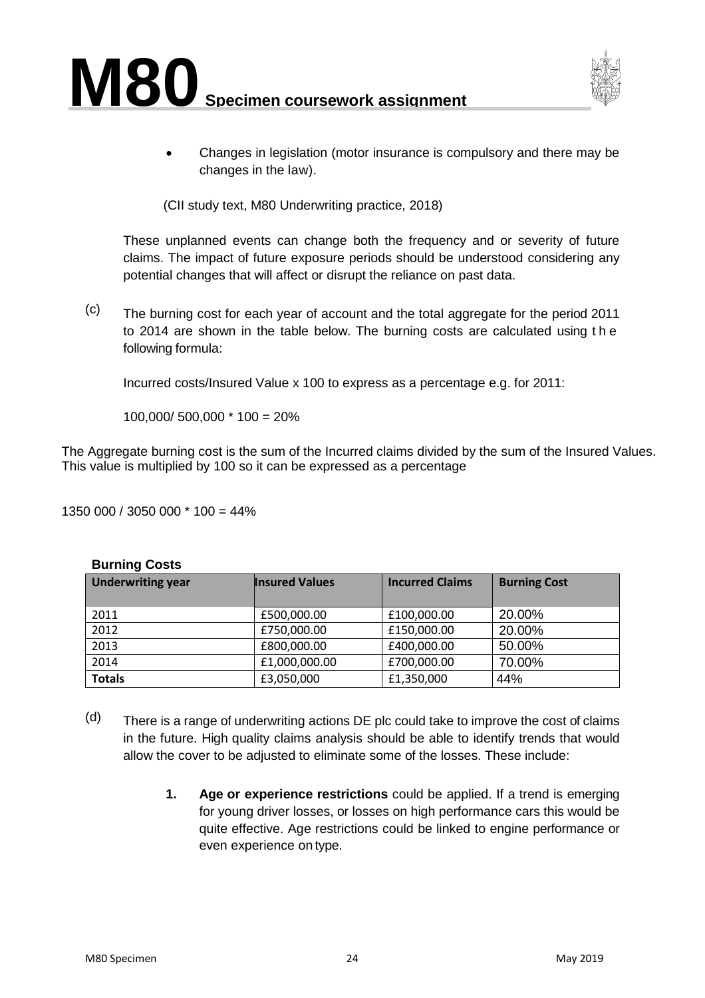



• Changes in legislation (motor insurance is compulsory and there may be changes in the law).

(CII study text, M80 Underwriting practice, 2018)

These unplanned events can change both the frequency and or severity of future claims. The impact of future exposure periods should be understood considering any potential changes that will affect or disrupt the reliance on past data.

(c) The burning cost for each year of account and the total aggregate for the period 2011 to 2014 are shown in the table below. The burning costs are calculated using t h e following formula:

Incurred costs/Insured Value x 100 to express as a percentage e.g. for 2011:

100,000/ 500,000 \* 100 = 20%

The Aggregate burning cost is the sum of the Incurred claims divided by the sum of the Insured Values. This value is multiplied by 100 so it can be expressed as a percentage

1350 000 / 3050 000 \* 100 = 44%

#### **Burning Costs**

| <b>Underwriting year</b> | <b>Insured Values</b> | <b>Incurred Claims</b> | <b>Burning Cost</b> |
|--------------------------|-----------------------|------------------------|---------------------|
| 2011                     | £500,000.00           | £100,000.00            | 20.00%              |
| 2012                     | £750,000.00           | £150,000.00            | 20.00%              |
| 2013                     | £800,000.00           | £400,000.00            | 50.00%              |
| 2014                     | £1,000,000.00         | £700,000.00            | 70.00%              |
| <b>Totals</b>            | £3,050,000            | £1,350,000             | 44%                 |

- $(d)$  There is a range of underwriting actions DE plc could take to improve the cost of claims in the future. High quality claims analysis should be able to identify trends that would allow the cover to be adjusted to eliminate some of the losses. These include:
	- **1. Age or experience restrictions** could be applied. If a trend is emerging for young driver losses, or losses on high performance cars this would be quite effective. Age restrictions could be linked to engine performance or even experience on type.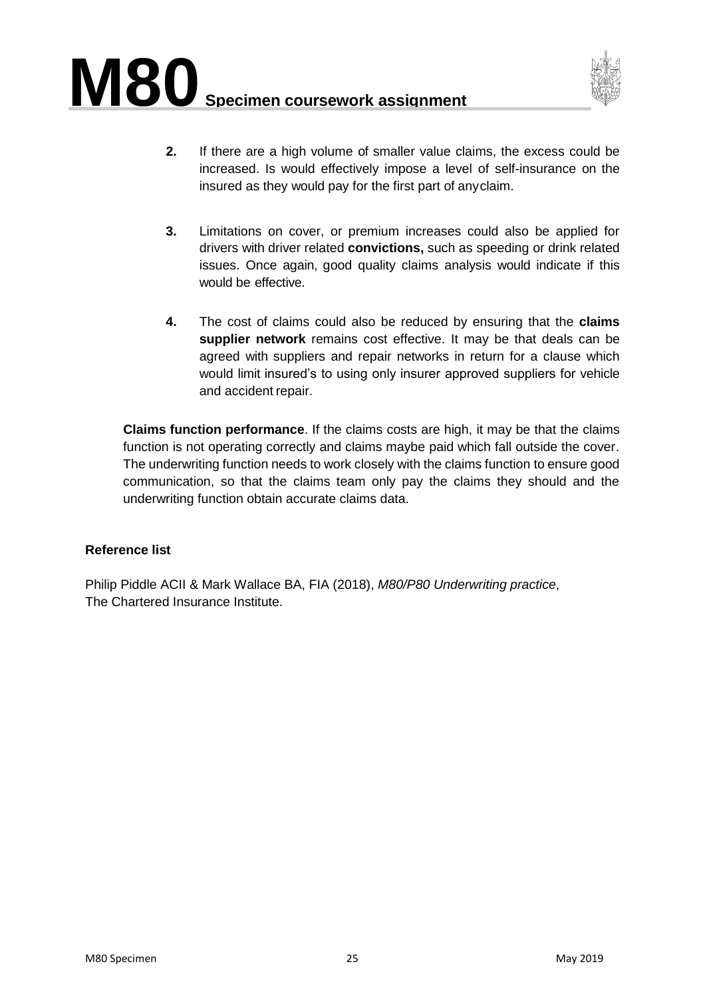

- **2.** If there are a high volume of smaller value claims, the excess could be increased. Is would effectively impose a level of self-insurance on the insured as they would pay for the first part of anyclaim.
- **3.** Limitations on cover, or premium increases could also be applied for drivers with driver related **convictions,** such as speeding or drink related issues. Once again, good quality claims analysis would indicate if this would be effective.
- **4.** The cost of claims could also be reduced by ensuring that the **claims supplier network** remains cost effective. It may be that deals can be agreed with suppliers and repair networks in return for a clause which would limit insured's to using only insurer approved suppliers for vehicle and accident repair.

**Claims function performance**. If the claims costs are high, it may be that the claims function is not operating correctly and claims maybe paid which fall outside the cover. The underwriting function needs to work closely with the claims function to ensure good communication, so that the claims team only pay the claims they should and the underwriting function obtain accurate claims data.

#### **Reference list**

Philip Piddle ACII & Mark Wallace BA, FIA (2018), *M80/P80 Underwriting practice*, The Chartered Insurance Institute.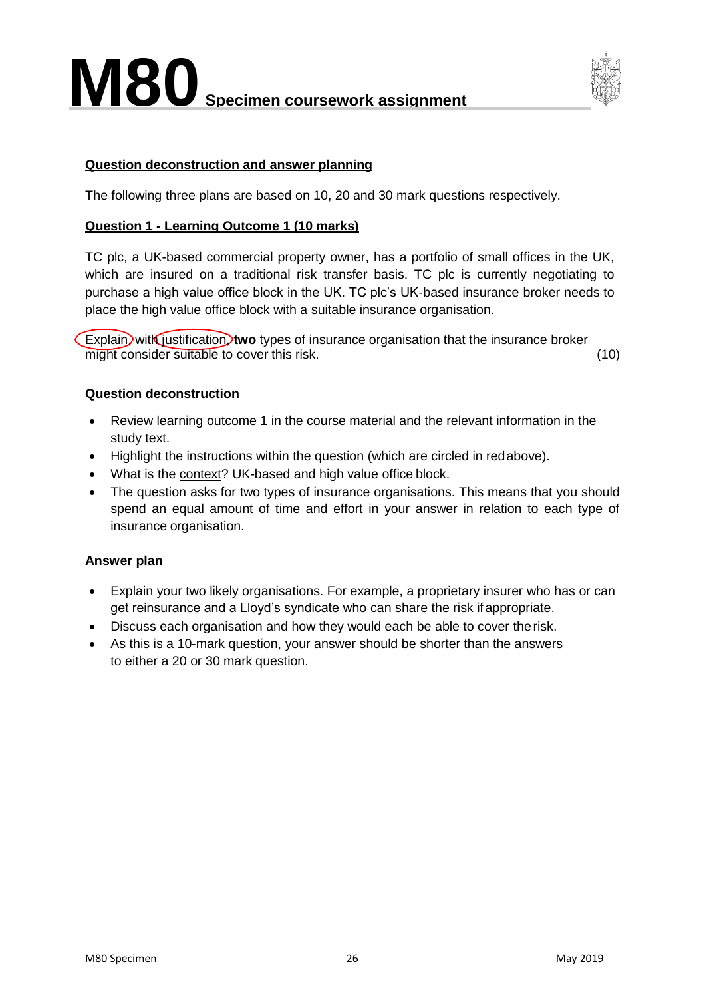

#### <span id="page-25-0"></span>**Question deconstruction and answer planning**

The following three plans are based on 10, 20 and 30 mark questions respectively.

#### **Question 1 - Learning Outcome 1 (10 marks)**

TC plc, a UK-based commercial property owner, has a portfolio of small offices in the UK, which are insured on a traditional risk transfer basis. TC plc is currently negotiating to purchase a high value office block in the UK. TC plc's UK-based insurance broker needs to place the high value office block with a suitable insurance organisation.

Explain, with justification, two types of insurance organisation that the insurance broker might consider suitable to cover this risk. (10)

#### **Question deconstruction**

- Review learning outcome 1 in the course material and the relevant information in the study text.
- Highlight the instructions within the question (which are circled in redabove).
- What is the context? UK-based and high value office block.
- The question asks for two types of insurance organisations. This means that you should spend an equal amount of time and effort in your answer in relation to each type of insurance organisation.

#### **Answer plan**

- Explain your two likely organisations. For example, a proprietary insurer who has or can get reinsurance and a Lloyd's syndicate who can share the risk ifappropriate.
- Discuss each organisation and how they would each be able to cover therisk.
- As this is a 10-mark question, your answer should be shorter than the answers to either a 20 or 30 mark question.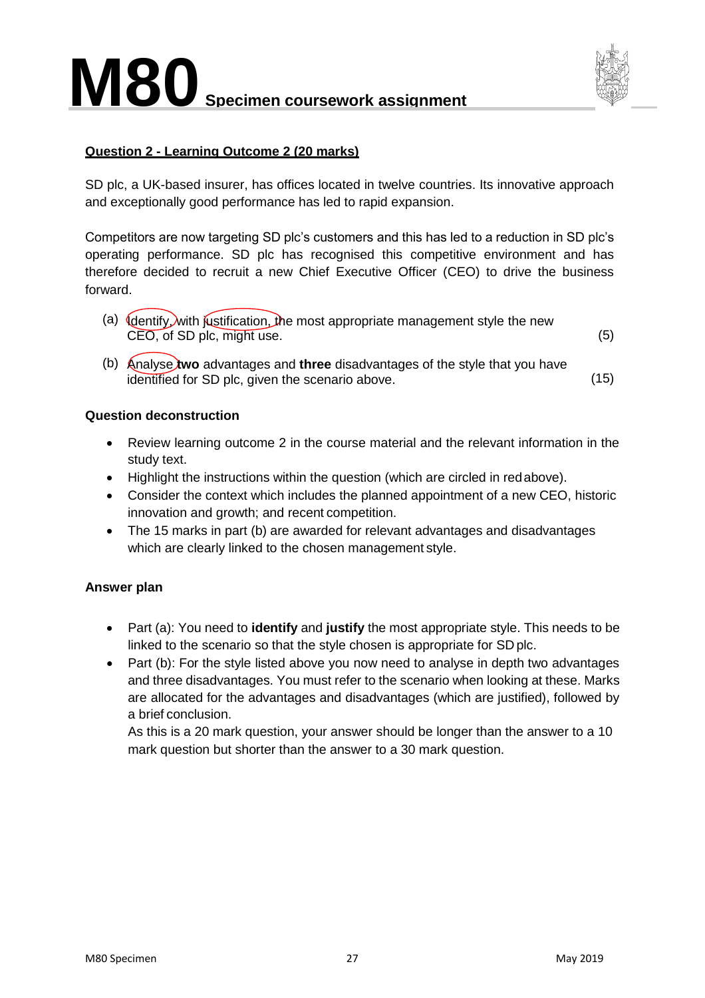

#### **Question 2 - Learning Outcome 2 (20 marks)**

SD plc, a UK-based insurer, has offices located in twelve countries. Its innovative approach and exceptionally good performance has led to rapid expansion.

Competitors are now targeting SD plc's customers and this has led to a reduction in SD plc's operating performance. SD plc has recognised this competitive environment and has therefore decided to recruit a new Chief Executive Officer (CEO) to drive the business forward.

- (a)  $\oint$  dentify, with justification, the most appropriate management style the new CEO, of SD plc, might use. (5)
- (b) Analyse **two** advantages and **three** disadvantages of the style that you have identified for SD plc, given the scenario above. (15)

#### **Question deconstruction**

- Review learning outcome 2 in the course material and the relevant information in the study text.
- Highlight the instructions within the question (which are circled in redabove).
- Consider the context which includes the planned appointment of a new CEO, historic innovation and growth; and recent competition.
- The 15 marks in part (b) are awarded for relevant advantages and disadvantages which are clearly linked to the chosen management style.

#### **Answer plan**

- Part (a): You need to **identify** and **justify** the most appropriate style. This needs to be linked to the scenario so that the style chosen is appropriate for SD plc.
- Part (b): For the style listed above you now need to analyse in depth two advantages and three disadvantages. You must refer to the scenario when looking at these. Marks are allocated for the advantages and disadvantages (which are justified), followed by a brief conclusion.

As this is a 20 mark question, your answer should be longer than the answer to a 10 mark question but shorter than the answer to a 30 mark question.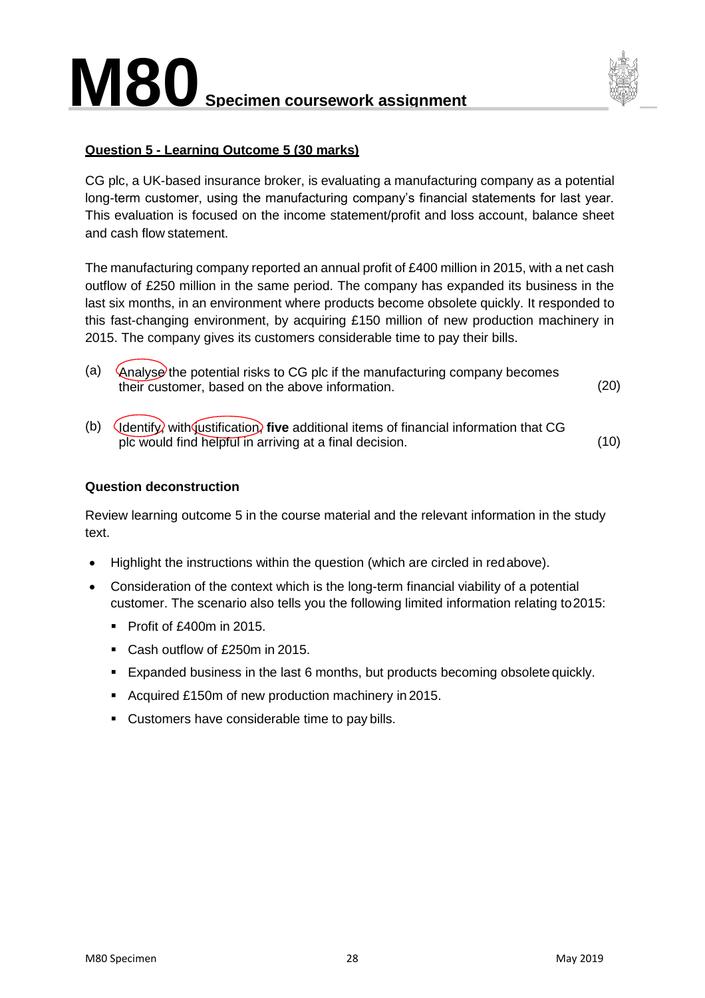

#### **Question 5 - Learning Outcome 5 (30 marks)**

CG plc, a UK-based insurance broker, is evaluating a manufacturing company as a potential long-term customer, using the manufacturing company's financial statements for last year. This evaluation is focused on the income statement/profit and loss account, balance sheet and cash flow statement.

The manufacturing company reported an annual profit of £400 million in 2015, with a net cash outflow of £250 million in the same period. The company has expanded its business in the last six months, in an environment where products become obsolete quickly. It responded to this fast-changing environment, by acquiring £150 million of new production machinery in 2015. The company gives its customers considerable time to pay their bills.

- (a)  $\langle$  Analyse the potential risks to CG plc if the manufacturing company becomes their customer, based on the above information. (20)
- (b) Identify, with justification, **five** additional items of financial information that CG plc would find helpful in arriving at a final decision. (10)

#### **Question deconstruction**

Review learning outcome 5 in the course material and the relevant information in the study text.

- Highlight the instructions within the question (which are circled in redabove).
- Consideration of the context which is the long-term financial viability of a potential customer. The scenario also tells you the following limited information relating to2015:
	- $\blacksquare$  Profit of £400m in 2015.
	- Cash outflow of £250m in 2015.
	- Expanded business in the last 6 months, but products becoming obsolete quickly.
	- Acquired £150m of new production machinery in 2015.
	- Customers have considerable time to pay bills.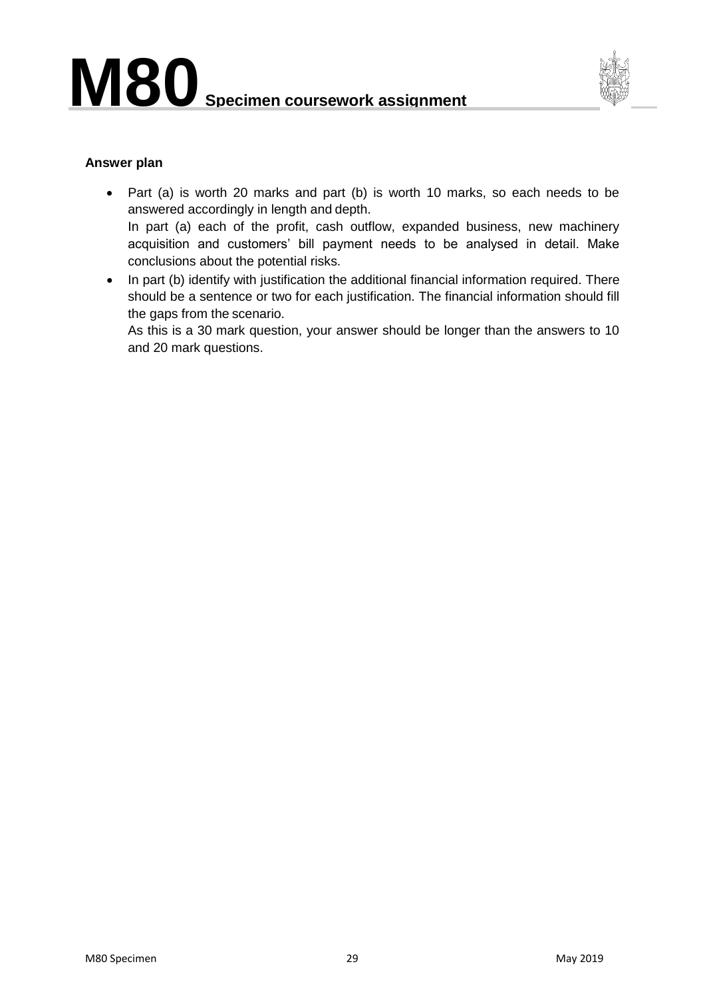

#### **Answer plan**

- Part (a) is worth 20 marks and part (b) is worth 10 marks, so each needs to be answered accordingly in length and depth. In part (a) each of the profit, cash outflow, expanded business, new machinery acquisition and customers' bill payment needs to be analysed in detail. Make conclusions about the potential risks.
- In part (b) identify with justification the additional financial information required. There should be a sentence or two for each justification. The financial information should fill the gaps from the scenario.

As this is a 30 mark question, your answer should be longer than the answers to 10 and 20 mark questions.